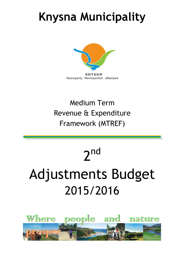## <span id="page-0-0"></span>**Knysna Municipality**



## Medium Term Revenue & Expenditure Framework (MTREF)

# 2<sup>nd</sup> Adjustments Budget 2015/2016

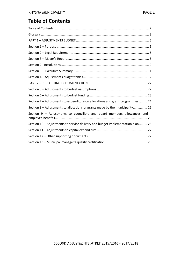## **Table of Contents**

| Section 7 - Adjustments to expenditure on allocations and grant programmes  24  |
|---------------------------------------------------------------------------------|
| Section 8 - Adjustments to allocations or grants made by the municipality 25    |
| Section 9 - Adjustments to councillors and board members allowances and         |
| Section 10 - Adjustments to service delivery and budget implementation plan  26 |
|                                                                                 |
|                                                                                 |
|                                                                                 |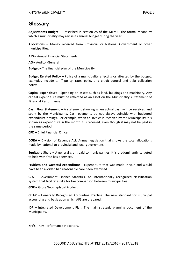## <span id="page-2-0"></span>**Glossary**

**Adjustments Budget –** Prescribed in section 28 of the MFMA. The formal means by which a municipality may revise its annual budget during the year.

**Allocations –** Money received from Provincial or National Government or other municipalities.

**AFS –** Annual Financial Statements

**AG –** Auditor-General

**Budget –** The financial plan of the Municipality.

**Budget Related Policy –** Policy of a municipality affecting or affected by the budget, examples include tariff policy, rates policy and credit control and debt collection policy.

**Capital Expenditure** - Spending on assets such as land, buildings and machinery. Any capital expenditure must be reflected as an asset on the Municipality's Statement of Financial Performance.

**Cash Flow Statement –** A statement showing when actual cash will be received and spent by the Municipality. Cash payments do not always coincide with budgeted expenditure timings. For example, when an invoice is received by the Municipality it is shown as expenditure in the month it is received, even though it may not be paid in the same period.

**CFO –** Chief Financial Officer

**DORA –** Division of Revenue Act. Annual legislation that shows the total allocations made by national to provincial and local government.

**Equitable Share –** A general grant paid to municipalities. It is predominantly targeted to help with free basic services.

**Fruitless and wasteful expenditure –** Expenditure that was made in vain and would have been avoided had reasonable care been exercised.

**GFS –** Government Finance Statistics. An internationally recognised classification system that facilitates like for like comparison between municipalities.

**GGP –** Gross Geographical Product

**GRAP –** Generally Recognised Accounting Practice. The new standard for municipal accounting and basis upon which AFS are prepared.

**IDP –** Integrated Development Plan. The main strategic planning document of the Municipality.

**KPI's –** Key Performance Indicators.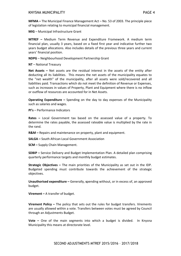**MFMA –** The Municipal Finance Management Act – No. 53 of 2003. The principle piece of legislation relating to municipal financial management.

**MIG** – Municipal Infrastructure Grant

**MTREF –** Medium Term Revenue and Expenditure Framework. A medium term financial plan, usually 3 years, based on a fixed first year and indicative further two years budget allocations. Also includes details of the previous three years and current years' financial position.

**NDPG** – Neighbourhood Development Partnership Grant

**NT** – National Treasury

**Net Assets –** Net assets are the residual interest in the assets of the entity after deducting all its liabilities. This means the net assets of the municipality equates to the "net wealth" of the municipality, after all assets were sold/recovered and all liabilities paid. Transactions which do not meet the definition of Revenue or Expenses, such as increases in values of Property, Plant and Equipment where there is no inflow or outflow of resources are accounted for in Net Assets.

**Operating Expenditure –** Spending on the day to day expenses of the Municipality such as salaries and wages.

**PI's** – Performance Indicators

**Rates –** Local Government tax based on the assessed value of a property. To determine the rates payable, the assessed rateable value is multiplied by the rate in the rand.

**R&M –** Repairs and maintenance on property, plant and equipment.

**SALGA –** South African Local Government Association

**SCM –** Supply Chain Management.

**SDBIP –** Service Delivery and Budget Implementation Plan. A detailed plan comprising quarterly performance targets and monthly budget estimates.

**Strategic Objectives –** The main priorities of the Municipality as set out in the IDP. Budgeted spending must contribute towards the achievement of the strategic objectives.

**Unauthorised expenditure –** Generally, **s**pending without, or in excess of, an approved budget.

**Virement –** A transfer of budget.

**Virement Policy –** The policy that sets out the rules for budget transfers. Virements are usually allowed within a vote. Transfers between votes must be agreed by Council through an Adjustments Budget.

**Vote –** One of the main segments into which a budget is divided. In Knysna Municipality this means at directorate level.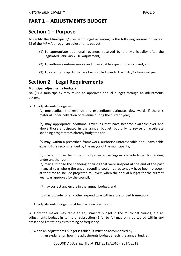## <span id="page-4-0"></span>**PART 1 – ADJUSTMENTS BUDGET**

## **Section 1 – Purpose**

To rectify the Municipality's revised budget according to the following reasons of Section 28 of the MFMA through an adjustments budget:

- (1) To appropriate additional revenues received by the Municipality after the legislated February 2016 Adjustment,
- (2) To authorise unforeseeable and unavoidable expenditure incurred; and
- (3) To cater for projects that are being rolled over to the 2016/17 financial year.

## <span id="page-4-1"></span>**Section 2 – Legal Requirements**

#### **Municipal adjustments budgets**

**28.** (1) A municipality may revise an approved annual budget through an adjustments budget.

(2) An adjustments budget—

*(a)* must adjust the revenue and expenditure estimates downwards if there is material under-collection of revenue during the current year;

*(b)* may appropriate additional revenues that have become available over and above those anticipated in the annual budget, but only to revise or accelerate spending programmes already budgeted for;

*(c)* may, within a prescribed framework, authorise unforeseeable and unavoidable expenditure recommended by the mayor of the municipality;

*(d)* may authorise the utilisation of projected savings in one vote towards spending under another vote;

*(e)* may authorise the spending of funds that were unspent at the end of the past financial year where the under-spending could not reasonably have been foreseen at the time to include projected roll-overs when the annual budget for the current year was approved by the council;

*(f)* may correct any errors in the annual budget; and

*(g)* may provide for any other expenditure within a prescribed framework.

(3) An adjustments budget must be in a prescribed form.

(4) Only the mayor may table an adjustments budget in the municipal council, but an adjustments budget in terms of subsection (2)*(b)* to *(g)* may only be tabled within any prescribed limitations as to timing or frequency.

(5) When an adjustments budget is tabled, it must be accompanied by-

*(a)* an explanation how the adjustments budget affects the annual budget;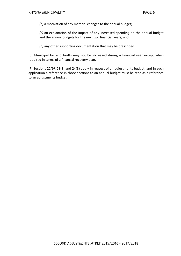*(b)* a motivation of any material changes to the annual budget;

*(c)* an explanation of the impact of any increased spending on the annual budget and the annual budgets for the next two financial years; and

*(d)* any other supporting documentation that may be prescribed.

(6) Municipal tax and tariffs may not be increased during a financial year except when required in terms of a financial recovery plan.

(7) Sections 22*(b)*, 23(3) and 24(3) apply in respect of an adjustments budget, and in such application a reference in those sections to an annual budget must be read as a reference to an adjustments budget.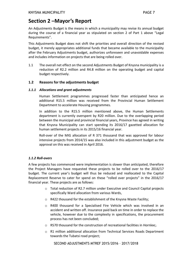## **Section 2 –Mayor's Report**

An Adjustments Budget is the means in which a municipality may revise its annual budget during the course of a financial year as stipulated on section 2 of Part 1 above "Legal Requirements".

This Adjustments Budget does not shift the priorities and overall direction of the revised budget, it merely appropriates additional funds that became available to the municipality after the February Adjustments budget, authorizes unforeseen and unavoidable expenses and includes information on projects that are being rolled over.

1.1 The overall net effect on the second Adjustments Budget of Knysna municipality is a reduction of R2.2 million and R4.8 million on the operating budget and capital budget respectively.

#### **1.2 Reasons for the adjustments budget**

#### *1.1.1 Allocations and grant adjustments*

Human Settlement programmes progressed faster than anticipated hence an additional R15.5 million was received from the Provincial Human Settlement Department to accelerate Housing programmes.

In addition to the R15.5 million mentioned above, the Human Settlements department is currently overspent by R20 million. Due to the overlapping period between the municipal and provincial financial years, Province has agreed in writing that Knysna Municipality can start spending its 2016/17 gazetted allocation for human settlement projects in its 2015/16 financial year.

Roll-over of the MIG allocation of R 371 thousand that was approved for labour intensive projects from 2014/15 was also included in this adjustment budget as the approval on this was received in April 2016.

#### *1.1.2 Roll-overs*

A few projects has commenced were implementation is slower than anticipated, therefore the Project Managers have requested these projects to be rolled over to the 2016/17 budget. The current year's budget will thus be reduced and reallocated to the Capital Replacement Reserve to cater for spend on these "rolled over projects" in the 2016/17 financial year. These projects are as follows:

- o Total reduction of R2.7 million under Executive and Council Capital projects specifically Ward allocation from various Wards,
- o R422 thousand for the establishment of the Knysna Waste Facility;
- o R400 thousand for a Specialised Fire Vehicle which was involved in an accident and written off. Insurance paid back on time in order to replace the vehicle, however due to the complexity in specifications, the procurement process has not been concluded;
- $\circ$  R570 thousand for the construction of recreational facilities in Hornlee;.
- o R1 million additional allocation from Technical Services Roads Department towards the Tubatsi road project;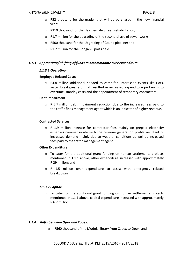- $\circ$  R52 thousand for the grader that will be purchased in the new financial year;
- o R310 thousand for the Heatherdale Street Rehabilitation;
- o R1.7 million for the upgrading of the second phase of sewer works;
- o R500 thousand for the Upgrading of Gouna pipeline; and
- o R1.2 million for the Bongani Sports field.

#### *1.1.3 Appropriate/ shifting of funds to accommodate over expenditure*

#### *1.1.3.1 Operating:*

#### **Employee Related Costs**

 $\circ$  R4.8 million additional needed to cater for unforeseen events like riots, water breakages, etc. that resulted in increased expenditure pertaining to overtime, standby costs and the appointment of temporary contractors.

#### **Debt impairment**

o R 5.7 million debt impairment reduction due to the increased fees paid to the traffic fines management agent which is an indicator of higher revenue.

#### **Contracted Services**

o R 1.9 million increase for contractor fees mainly on prepaid electricity expenses commensurate with the revenue generation profile resultant of increased demand mainly due to weather conditions as well as increased fees paid to the traffic management agent.

#### **Other Expenditure**

- $\circ$  To cater for the additional grant funding on human settlements projects mentioned in 1.1.1 above, other expenditure increased with approximately R 29 million; and
- o R 1.5 million over expenditure to assist with emergency related breakdowns.

#### *1.1.3.2 Capital:*

o To cater for the additional grant funding on human settlements projects mentioned in 1.1.1 above, capital expenditure increased with approximately R 6.2 million.

#### *1.1.4 Shifts between Opex and Capex:*

o R560 thousand of the Modula library from Capex to Opex; and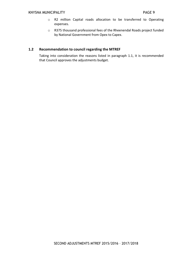- o R2 million Capital roads allocation to be transferred to Operating expenses.
- <span id="page-8-0"></span>o R375 thousand professional fees of the Rheenendal Roads project funded by National Government from Opex to Capex.

#### **1.2 Recommendation to council regarding the MTREF**

Taking into consideration the reasons listed in paragraph 1.1, it is recommended that Council approves the adjustments budget.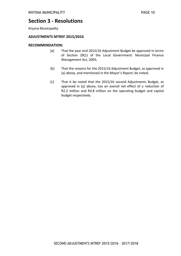## **Section 3 - Resolutions**

Knysna Municipality

#### **ADJUSTMENTS MTREF 2015/2016**

#### **RECOMMENDATION:**

- [a] That the year end 2015/16 Adjustment Budget be approved in terms of Section 28(1) of the Local Government: Municipal Finance Management Act, 2003;
- [b] That the reasons for the 2015/16 Adjustment Budget, as approved in [a] above, and mentioned in the Mayor's Report, be noted;
- [c] That it be noted that the 2015/16 second Adjustments Budget, as approved in [a] above, has an overall net effect of a reduction of R2.2 million and R4.8 million on the operating budget and capital budget respectively.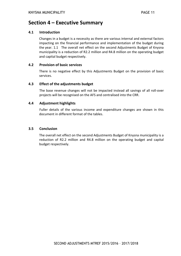### <span id="page-10-0"></span>**Section 4 – Executive Summary**

#### **4.1 Introduction**

Changes in a budget is a necessity as there are various internal and external factors impacting on the financial performance and implementation of the budget during the year. 1.1 The overall net effect on the second Adjustments Budget of Knysna municipality is a reduction of R2.2 million and R4.8 million on the operating budget and capital budget respectively.

#### **4.2 Provision of basic services**

There is no negative effect by this Adjustments Budget on the provision of basic services.

#### **4.3 Effect of the adjustments budget**

The base revenue changes will not be impacted instead all savings of all roll-over projects will be recognised on the AFS and centralised into the CRR.

#### **4.4 Adjustment highlights**

Fuller details of the various income and expenditure changes are shown in this document in different format of the tables.

#### **3.5 Conclusion**

<span id="page-10-1"></span>The overall net effect on the second Adjustments Budget of Knysna municipality is a reduction of R2.2 million and R4.8 million on the operating budget and capital budget respectively.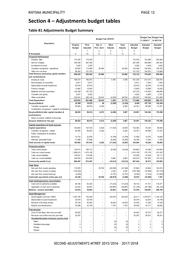## **Section 4 – Adjustments budget tables**

#### **Table B1 Adjustments Budget Summary**

|                                                                                                   |                           |                          |                          | +1 2016/17               | <b>Budget Year Budget Year</b><br>+2 2017/18 |                           |                    |                    |
|---------------------------------------------------------------------------------------------------|---------------------------|--------------------------|--------------------------|--------------------------|----------------------------------------------|---------------------------|--------------------|--------------------|
| Description                                                                                       | Original<br><b>Budget</b> | Prior<br>Adjusted        | Nat. or<br>Prov. Govt    | Other<br>Adjusts.        | Total<br>Adjusts.                            | Adjusted<br><b>Budget</b> | Adjusted<br>Budget | Adjusted<br>Budget |
|                                                                                                   |                           | 1                        | 5                        | 6                        | 7                                            | 8                         |                    |                    |
| R thousands                                                                                       | Α                         | A1                       | E                        | F                        | G                                            | Η                         |                    |                    |
| <b>Financial Performance</b>                                                                      |                           |                          |                          |                          |                                              |                           |                    |                    |
| Property rates                                                                                    | 174,430                   | 174,430                  |                          |                          |                                              | 174,430                   | 191,866            | 205,364            |
| Service charges<br>Investment revenue                                                             | 300,395<br>3,200          | 297,395<br>5,200         |                          |                          |                                              | 297,395<br>5,200          | 348,898<br>3,400   | 387,924<br>3,600   |
| Transfers recognised - operational                                                                | 93,803                    | 113,866                  | 29,480                   | $\equiv$                 | 29,480                                       | 143,346                   | 104,483            | 108,783            |
| Other own revenue                                                                                 | 96,393                    | 101,753                  |                          |                          |                                              | 101,753                   | 104,973            | 114,889            |
| <b>Total Revenue (excluding capital transfers</b>                                                 | 668,222                   | 692,645                  | 29,480                   |                          | 29,480                                       | 722,124                   | 753,620            | 820,560            |
| and contributions)                                                                                |                           |                          |                          |                          |                                              |                           |                    |                    |
| Employ ee costs                                                                                   | 196,737                   | 196,491                  | $\equiv$                 | 4,785                    | 4,785                                        | 201,276                   | 214,147            | 228,781            |
| Remuneration of councillors                                                                       | 6,817                     | 6,817                    |                          | -                        |                                              | 6,817                     | 7,294              | 7,804              |
| Depreciation & asset impairment<br>Finance charges                                                | 25,918<br>13,962          | 25,918<br>13,650         | -<br>$\equiv$            | $\overline{\phantom{0}}$ | $\equiv$                                     | 25,918<br>13,650          | 32,544<br>15,586   | 34,749<br>16,520   |
| Materials and bulk purchases                                                                      | 154,328                   | 167,720                  |                          |                          | $\overline{\phantom{0}}$                     | 167,720                   | 174,825            | 189,690            |
| Transfers and grants                                                                              | 5,631                     | 5,922                    |                          |                          |                                              | 5,922                     | 5,665              | 5,781              |
| Other expenditure                                                                                 | 232,441                   | 265,149                  | 29,434                   | (2,500)                  | 26,934                                       | 292.083                   | 195,822            | 201,865            |
| <b>Total Expenditure</b>                                                                          | 635,833                   | 681,666                  | 29,434                   | 2,285                    | 31,719                                       | 713,666                   | 645,882            | 685,191            |
| <b>Surplus/(Deficit)</b>                                                                          | 32,388                    | 10,979                   | 46                       | (2, 285)                 | (2, 239)                                     | 8,458                     | 107,738            | 135,369            |
| Transfers recognised - capital                                                                    | 56,265                    | 48,535                   | 6,226                    |                          | 6,226                                        | 54,761                    | 46,586             | 41,027             |
| Contributions recognised - capital & contributed a<br>Surplus/(Deficit) after capital transfers & | 88,653                    | 59,514                   | 6,272                    | (2, 285)                 | 3,987                                        | 63,501                    | 154,324            | 176,396            |
| contributions                                                                                     |                           |                          |                          |                          |                                              |                           |                    |                    |
| Share of surplus/ (deficit) of associate                                                          |                           |                          |                          |                          |                                              |                           |                    |                    |
| Surplus/ (Deficit) for the year                                                                   | 88,653                    | 59,514                   | 6,272                    | (2, 285)                 | 3,987                                        | 63,501                    | 154,324            | 176,396            |
| Capital expenditure & funds sources                                                               |                           |                          |                          |                          |                                              |                           |                    |                    |
| Capital expenditure                                                                               | 102,683                   | 107,810                  | 6,226                    | (11, 033)                | (4, 807)                                     | 103,004                   | 70,240             | 58,992             |
| Transfers recognised - capital                                                                    | 56,265                    | 48,535                   | 6,226                    |                          | 6,226                                        | 54,761                    | 46,586             | 41,027             |
| Public contributions & donations                                                                  |                           |                          |                          |                          |                                              |                           |                    |                    |
| Borrow ing                                                                                        | 14,732                    | 22,206                   |                          | (4, 749)                 | (4, 749)                                     | 17,458                    | 12,570             | 10,660             |
| Internally generated funds                                                                        | 31,686                    | 37,069                   | $\equiv$                 | (6, 284)                 | (6, 284)                                     | 30,785                    | 11,084             | 7,305              |
| Total sources of capital funds                                                                    | 102,683                   | 107,810                  | 6,226                    | (11, 033)                | (4, 807)                                     | 103,004                   | 70,240             | 58,992             |
| <b>Financial position</b>                                                                         |                           |                          |                          |                          |                                              |                           |                    |                    |
| Total current assets                                                                              | 120,513                   | 160,713                  |                          | (6,030)                  | (6,030)                                      | 154,683                   | 74,348             | 144,800            |
| Total non current assets                                                                          | 1,096,615                 | 1,074,195                |                          |                          |                                              | 1,074,195                 | 174,179            | 201,422            |
| Total current liabilities                                                                         | 105,627                   | 116,506<br>244,936       | $\overline{\phantom{0}}$ |                          |                                              | 116,506                   | 47,229             | 50,111             |
| Total non current liabilities<br><b>Community wealth/Equity</b>                                   | 226,004<br>885,497        | 873,467                  | $\overline{\phantom{0}}$ | 9,983<br>(16, 013)       | 9,983<br>(16, 013)                           | 254,919<br>857,454        | 161,925<br>39,373  | 170,120<br>125,992 |
|                                                                                                   |                           |                          |                          |                          |                                              |                           |                    |                    |
| <b>Cash flows</b>                                                                                 | 115,053                   |                          | 35,706                   |                          |                                              | 67,663                    | 22,964             | 120,474            |
| Net cash from (used) operating<br>Net cash from (used) investing                                  | (103, 444)                |                          |                          | (83,095)<br>3,245        | (47, 390)<br>3,245                           | (100, 199)                | (72, 563)          | (61, 315)          |
| Net cash from (used) financing                                                                    | (4, 536)                  | -                        |                          | (4, 757)                 | (4, 757)                                     | (9, 292)                  | (7, 333)           | (13, 940)          |
| Cash/cash equivalents at the year end                                                             | 22,338                    |                          | 35,706                   | (38, 974)                | (3, 269)                                     | 19,070                    | (37, 863)          | 7,357              |
| Cash backing/surplus reconciliation                                                               |                           |                          |                          |                          |                                              |                           |                    |                    |
| Cash and investments available                                                                    | 46,195                    | 63,335                   |                          | (17, 232)                | (17, 232)                                    | 46,103                    | 41,721             | 116,071            |
| Application of cash and investments                                                               | 22,523                    | 28,491                   |                          | (49, 867)                | (49, 867)                                    | (21, 376)                 | (87, 766)          | (93, 123)          |
| Balance - surplus (shortfall)                                                                     | 23,672                    | 34,843                   | $\qquad \qquad -$        | 32,635                   | 32,635                                       | 67,479                    | 129,487            | 209,194            |
| <b>Asset Management</b>                                                                           |                           |                          |                          |                          |                                              |                           |                    |                    |
| Asset register summary (WDV)                                                                      | 1,070,790                 | 103,348                  |                          | (20, 937)                | (20, 937)                                    | 82,411                    | 1,079,877          | 1,104,120          |
| Depreciation & asset impairment                                                                   | 25,918                    | 25,918                   |                          |                          |                                              | 25,918                    | 32,544             | 34,749             |
| Renewal of Existing Assets                                                                        | 35,139                    | 40,250                   |                          | (6, 827)                 | (6, 827)                                     | 33,424                    | 17,246             | 15,336             |
| Repairs and Maintenance                                                                           | 42,968                    | 43,738                   | $\qquad \qquad -$        | 1,754                    | 1,754                                        | 45,492                    | 44,117             | 46,655             |
| <b>Free services</b>                                                                              |                           |                          |                          |                          |                                              |                           |                    |                    |
| Cost of Free Basic Services provided                                                              | 46,520                    | $\overline{\phantom{0}}$ |                          |                          | -                                            | 46,520                    | 50,707             | 55,271             |
| Revenue cost of free services provided<br>Households below minimum service level                  | 52,267                    |                          |                          |                          | -                                            | 52,267                    | 56,251             | 56,251             |
| Water:                                                                                            | 1                         | -                        |                          | (0)                      | (0)                                          | 1                         | 2                  | 2                  |
| Sanitation/sew erage:                                                                             | 4                         |                          |                          | (0)                      | (0)                                          | 4                         | 4                  | 5                  |
| Energy:                                                                                           | 3                         |                          |                          | (0)                      | (0)                                          | 3                         | 3                  | 4                  |
| Refuse:                                                                                           | $\overline{\phantom{0}}$  |                          |                          | $\overline{c}$           | 2                                            | 2                         |                    |                    |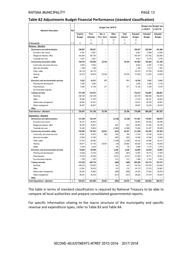#### **Table B2 Adjustments Budget Financial Performance (standard classification)**

| <b>Standard Description</b>                | Ref            |                          | Budget Year Budget Year<br>+1 2016/17 | +2 2017/18               |                          |                          |                          |                   |               |
|--------------------------------------------|----------------|--------------------------|---------------------------------------|--------------------------|--------------------------|--------------------------|--------------------------|-------------------|---------------|
|                                            |                | Original                 | Prior                                 | Nat. or                  | Other                    | Total                    | Adjusted                 | Adjusted          | Adjusted      |
|                                            |                | <b>Budget</b>            | Adjusted                              | Prov. Govt               | Adjusts.                 | Adjusts.                 | <b>Budget</b>            | Budget            | <b>Budget</b> |
|                                            |                |                          | 5                                     | 9                        | 10                       | 11                       | 12                       |                   |               |
| <b>R</b> thousands                         | 1, 4           | Α                        | A <sub>1</sub>                        | E                        | F                        | G                        | H                        |                   |               |
| Revenue - Standard                         |                |                          |                                       |                          |                          |                          |                          |                   |               |
| Governance and administration              |                | 196,867                  | 199,527                               | L                        | $\overline{\phantom{0}}$ | -                        | 199,527                  | 225,596           | 241,964       |
| Executive and council                      |                | 8,491                    | 8,851                                 |                          | $\overline{a}$           | $\overline{\phantom{0}}$ | 8,851                    | 9,596             | 10,584        |
| Budget and treasury office                 |                | 183.454                  | 185.754                               | $\overline{\phantom{0}}$ | $\overline{\phantom{0}}$ | $\overline{\phantom{0}}$ | 185,754                  | 210.782           | 225,645       |
| Corporate services                         |                | 4,921                    | 4,921                                 | $\overline{a}$           | $\overline{a}$           | $\overline{\phantom{0}}$ | 4,921                    | 5,218             | 5,735         |
| Community and public safety                |                | 144,619                  | 152,649                               | 35,335                   | $\overline{\phantom{0}}$ | 35,335                   | 187,983                  | 150,292           | 151,395       |
| Community and social services              |                | 9,843                    | 9,843                                 |                          | $\overline{\phantom{0}}$ | $\overline{\phantom{0}}$ | 9,843                    | 9,402             | 11,352        |
| Sport and recreation                       |                | 1,168                    | 1,168                                 |                          | $\overline{a}$           | $\overline{a}$           | 1,168                    | 1,273             | 1,387         |
| Public safety                              |                | 80,133                   | 85,133                                |                          | $\overline{\phantom{0}}$ | $\overline{\phantom{0}}$ | 85,133                   | 87,785            | 95,648        |
| Housing                                    |                | 53,474                   | 56,505                                | 35,335                   | $\overline{\phantom{0}}$ | 35,335                   | 91,839                   | 51,832            | 43,008        |
| Health                                     |                |                          |                                       |                          | $\overline{\phantom{0}}$ |                          |                          |                   |               |
| Economic and environmental services        |                | 9,233                    | 16,331                                | 371                      | $\overline{\phantom{0}}$ | 371                      | 16,702                   | 7,631             | 8,161         |
| Planning and development                   |                | 3,593                    | 3,593                                 |                          | $\overline{\phantom{0}}$ | $\overline{\phantom{0}}$ | 3,593                    | 2,836             | 3,142         |
| Road transport                             |                | 5,640                    | 12,738                                | 371                      | $\overline{\phantom{0}}$ | 371                      | 13,109                   | 4,795             | 5,019         |
| Environmental protection                   |                |                          | $\overline{\phantom{0}}$              | $\overline{\phantom{0}}$ | $\overline{\phantom{0}}$ | $\overline{\phantom{a}}$ | $\overline{\phantom{a}}$ | $\qquad \qquad -$ |               |
| <b>Trading services</b>                    |                | 373,768                  | 372,673                               | -                        | $\overline{\phantom{0}}$ | $\overline{a}$           | 372,673                  | 416,687           | 460.067       |
| Electricity                                |                | 238,108                  | 235,108                               | $\overline{\phantom{0}}$ | $\overline{\phantom{0}}$ | $\overline{\phantom{0}}$ | 235,108                  | 268,266           | 300,204       |
| Water                                      |                | 76,963                   | 77,278                                | $\overline{\phantom{0}}$ | $\overline{\phantom{0}}$ | $\overline{a}$           | 77,278                   | 88,341            | 94,633        |
| Waste water management                     |                | 28,850                   | 30,441                                | $\overline{\phantom{0}}$ | $\overline{\phantom{0}}$ | $\overline{\phantom{0}}$ | 30,441                   | 26,755            | 28,697        |
| Waste management                           |                | 29,847                   | 29,847                                | $\overline{a}$           | $\overline{\phantom{0}}$ | $\overline{a}$           | 29,847                   | 33,325            | 36,533        |
| Other                                      |                |                          |                                       |                          | $\overline{\phantom{0}}$ |                          |                          |                   |               |
| Total Revenue - Standard                   | $\overline{2}$ | 724,487                  | 741,180                               | 35,706                   | $\overline{a}$           | 35,706                   | 776,886                  | 800,206           | 861,587       |
| Expenditure - Standard                     |                |                          |                                       |                          |                          |                          |                          |                   |               |
| Governance and administration              |                | 151,548                  | 153,419                               | $\overline{\phantom{0}}$ | (2, 338)                 | (2, 338)                 | 151,081                  | 179,691           | 188,079       |
| Executive and council                      |                | 38,751                   | 40,674                                | $\overline{\phantom{0}}$ |                          |                          | 40,674                   | 46,762            | 48,788        |
| Budget and treasury office                 |                | 38,376                   | 35,941                                |                          | 622                      | 622                      | 36,563                   | 51,502            | 54,195        |
| Corporate services                         |                | 74,420                   | 76,804                                |                          | (2,960)                  | (2,960)                  | 73,844                   | 81,427            | 85,096        |
| Community and public safety                |                | 155,885                  | 181,953                               | 29,941                   | (614)                    | 29,327                   | 211,280                  | 103,383           | 107,563       |
| Community and social services              |                | 16,851                   | 16,675                                | 560                      | 239                      | 799                      | 17,474                   | 18,195            | 20,841        |
| Sport and recreation                       |                | 13,654                   | 14,790                                |                          | 659                      | 659                      | 15,449                   | 14,944            | 15,925        |
| Public safety                              |                | 91,475                   | 94,892                                |                          | (1, 549)                 | (1, 549)                 | 93,343                   | 24,086            | 25,141        |
| Housing                                    |                | 29,471                   | 51,163                                | 29,381                   | (19)                     | 29,362                   | 80,524                   | 41,445            | 40,639        |
| Health                                     |                | 4,434                    | 4,434                                 |                          | 56                       | 56                       | 4,490                    | 4,714             | 5,016         |
| <b>Economic and environmental services</b> |                | 53,863                   | 60,556                                | -                        | 2,436                    | 2,436                    | 62,992                   | 52,634            | 55,803        |
| Planning and development                   |                | 14,400                   | 14,378                                | $\overline{\phantom{0}}$ | (387)                    | (387)                    | 13,991                   | 16,710            | 17,879        |
| Road transport                             |                | 37,679                   | 44,395                                |                          | 2,610                    | 2,610                    | 47,006                   | 33,771            | 35,621        |
| Environmental protection                   |                | 1,785                    | 1,783                                 |                          | 213                      | 213                      | 1,996                    | 2,153             | 2,302         |
| <b>Trading services</b>                    |                | 274,538                  | 285,738                               |                          | (449)                    | (449)                    | 285,289                  | 310,174           | 333,747       |
| Electricity                                |                | 168,672                  | 176,650                               |                          | 144                      | 144                      | 176,794                  | 197,923           | 214,644       |
| Water                                      |                | 51,891                   | 55,035                                | $\overline{\phantom{0}}$ | 135                      | 135                      | 55,170                   | 57,315            | 60,881        |
| Waste water management                     |                | 25,044                   | 24,800                                | $\overline{\phantom{0}}$ | (496)                    | (496)                    | 24,303                   | 27,024            | 28,979        |
| Waste management                           |                | 28,931                   | 29,253                                |                          | (231)                    | (231)                    | 29,022                   | 27,912            | 29,244        |
| Other                                      |                | $\overline{\phantom{a}}$ |                                       |                          |                          |                          |                          |                   |               |
| Total Expenditure - Standard               | 3              | 635,833                  | 681,666                               | 29,941                   | (965)                    | 28,976                   | 713,666                  | 645,882           | 685,191       |

The table in terms of standard classification is required by National Treasury to be able to compare all local authorities and prepare consolidated governmental reports.

For specific information relating to the macro structure of the municipality and specific revenue and expenditure types, refer to Table B3 and Table B4.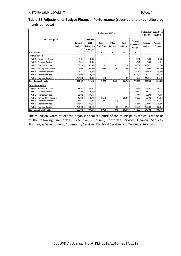|                                                        |                           |                                            |                          | +1 2016/17               | <b>Budget Year Budget Year</b><br>+2 2017/18 |                                         |                           |                           |
|--------------------------------------------------------|---------------------------|--------------------------------------------|--------------------------|--------------------------|----------------------------------------------|-----------------------------------------|---------------------------|---------------------------|
| <b>Vote Description</b>                                | Original<br><b>Budget</b> | February<br>2016<br>Adjustment<br>s Budget | Nat. or<br>Prov. Govt    | Other<br>Adjusts.        | Total<br>Adjusts.                            | Year-end<br>Adjustment<br><b>Budget</b> | Adjusted<br><b>Budget</b> | Adjusted<br><b>Budget</b> |
| R thousands                                            | A                         | A <sub>1</sub>                             | E                        | F                        | G                                            | H                                       |                           |                           |
| <b>Revenue by Vote</b><br>Vote 1 - Executive & Council | 8,491                     | 8,851                                      |                          | $\overline{\phantom{0}}$ |                                              | 8,851                                   | 9,596                     | 10,584                    |
| Vote 2 - Corporate Services                            | 3,644                     | 3,644                                      | $\overline{\phantom{0}}$ | -                        | $\overline{\phantom{0}}$                     | 3.644                                   | 3,986                     | 4,411                     |
| Vote 3 - Financial Services                            | 183,534                   | 185,834                                    | $\overline{\phantom{0}}$ | $\overline{\phantom{0}}$ | -                                            | 185.834                                 | 210.872                   | 225.758                   |
| Vote 5 - Planning & Development                        | 57,068                    | 60.098                                     | 28,779                   | 6,556                    | 35,335                                       | 95.433                                  | 54.668                    | 46,150                    |
| Vote 6 - Community Services                            | 125,282                   | 130,282                                    | $\overline{\phantom{0}}$ | $\overline{\phantom{0}}$ | -                                            | 130,282                                 | 135.924                   | 149,329                   |
| Vote 7 - Electrical Services                           | 238.609                   | 235.609                                    | -                        | -                        | -                                            | 235.609                                 | 269.243                   | 301,188                   |
| Vote 8 - Technical Services                            | 107.858                   | 116.861                                    | 371                      |                          | 371                                          | 117.232                                 | 115.917                   | 124, 167                  |
| <b>Total Revenue by Vote</b>                           | 724.487                   | 741.180                                    | 29.150                   | 6.556                    | 35.706                                       | 776.886                                 | 800.206                   | 861,587                   |
| <b>Expenditure by Vote</b>                             |                           |                                            |                          |                          |                                              |                                         |                           |                           |
| Vote 1 - Executive & Council                           | 38,751                    | 40,674                                     | -                        | -                        | -                                            | 40.674                                  | 46,762                    | 48,788                    |
| Vote 2 - Corporate Services                            | 29,104                    | 29,850                                     | $\overline{\phantom{0}}$ | -                        | -                                            | 29,850                                  | 33,213                    | 34,184                    |
| Vote 3 - Financial Services                            | 53,382                    | 51.447                                     | $\overline{\phantom{0}}$ | -                        | -                                            | 51.447                                  | 68.205                    | 71,434                    |
| Vote 5 - Planning & Development                        | 49.056                    | 70.790                                     | 28.874                   | Ξ.                       | 28,874                                       | 99.663                                  | 63.369                    | 64.059                    |
| Vote 6 - Community Services                            | 166,027                   | 171,243                                    | 560                      | (83)                     | 477                                          | 171,720                                 | 100,549                   | 107,684                   |
| Vote 7 - Electrical Services                           | 178,034                   | 184,557                                    | $\overline{\phantom{0}}$ | $\overline{\phantom{0}}$ | $\overline{\phantom{0}}$                     | 184.557                                 | 207.901                   | 225,203                   |
| Vote 8 - Technical Services                            | 121,480                   | 133,106                                    | $\overline{\phantom{0}}$ | (713)                    | (713)                                        | 132.393                                 | 125.883                   | 133,841                   |
| <b>Total Expenditure by Vote</b>                       | 635,833                   | 681,666                                    | 29,434                   | (796)                    | 28,638                                       | 713,666                                 | 645,882                   | 685,191                   |

#### **Table B3 Adjustments Budget Financial Performance (revenue and expenditure by municipal vote)**

The municipal votes reflect the organisational structure of the municipality which is made up of the following directorates: Executive & Council; Corporate Services; Financial Services; Planning & Development; Community Services; Electrical Services and Technical Services.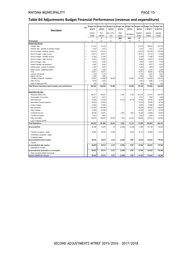#### **Table B4 Adjustments Budget Financial Performance (revenue and expenditure)**

|                                                               |                |                |                | Budget Year Budget Year Budget Year Budget Year Budget Year Budget Year |                          |                          |                | <b>Budget Year</b> | <b>Budget Year</b> |
|---------------------------------------------------------------|----------------|----------------|----------------|-------------------------------------------------------------------------|--------------------------|--------------------------|----------------|--------------------|--------------------|
|                                                               | Ref            | 2015/16        | 2015/16        | 2015/16                                                                 | 2015/16                  | 2015/16                  | 2015/16        | +1 2016/17         | +2 2017/18         |
| Description                                                   |                |                |                |                                                                         |                          |                          |                |                    |                    |
|                                                               |                | Original       | Prior          | Nat. or Prov.                                                           | Other                    | <b>Total Adjusts</b>     | Adjusted       | Adjusted           | Adjusted           |
|                                                               |                | Budget         | Adjusted       | Govt                                                                    | Adjusts.                 |                          | Budget         | Budget             | Budget             |
|                                                               |                |                | 3              | $\overline{7}$                                                          | 800%                     | 900%                     | 10             |                    |                    |
| R thousands                                                   | $\mathbf{1}$   | Α              | A1             | E                                                                       | F                        | G                        | H              |                    |                    |
| <b>Revenue By Source</b>                                      |                |                |                |                                                                         |                          |                          |                |                    |                    |
| Property rates                                                | $\overline{2}$ | 171,416        | 171,416        | ۰                                                                       | L.                       | $\overline{\phantom{0}}$ | 171,416        | 188,535            | 201,733            |
| Property rates - penalties & collection charges               |                | 3,014          | 3,014          |                                                                         |                          | $\overline{a}$           | 3,014          | 3,331              | 3,631              |
| Service charges - electricity revenue                         | $\overline{2}$ | 215,015        | 212,015        | $\overline{a}$                                                          | Ĭ.                       | $\overline{a}$           | 212,015        | 245,359            | 276,495            |
| Service charges - water revenue                               | $\sqrt{2}$     | 52,571         | 52,571         | ÷                                                                       | $\overline{\phantom{a}}$ | $\overline{\phantom{a}}$ | 52,571         | 67,132             | 71,829             |
| Service charges - sanitation revenue                          | $\overline{2}$ | 12,329         | 12,329         | ÷                                                                       | $\overline{\phantom{a}}$ | $\overline{\phantom{a}}$ | 12,329         | 13,499             | 14,445             |
| Service charges - refuse revenue                              | $\overline{2}$ | 16,504         | 16,504         |                                                                         | $\overline{a}$           | $\overline{a}$           | 16,504         | 18,575             | 20,433             |
| Service charges - other                                       |                | 3,976          | 3,976          |                                                                         | L                        | $\overline{a}$           | 3,976          | 4,333              | 4,722              |
| Rental of facilities and equipment                            |                | 5,482          | 5,482          |                                                                         |                          |                          | 5,482          | 5,977              | 6,516              |
| Interest earned - external investments                        |                | 3,200          | 5,200          |                                                                         | ۳                        | $\overline{a}$           | 5,200          | 3,400              | 3,600              |
| Interest earned - outstanding debtors                         |                | 3,542          | 3,542          |                                                                         | ۰                        | $\overline{a}$           | 3,542          | 3,753              | 4,089              |
| Fines                                                         |                | 79,471         | 84,471         |                                                                         | ۳                        | ۳                        | 84,471         | 86,623             | 94,418             |
| Licences and permits<br>Agency services                       |                | 2,179<br>1,850 | 2,179<br>1,850 |                                                                         |                          | $\overline{a}$           | 2,179<br>1,850 | 2,331<br>1,950     | 2,541<br>1,960     |
| Transfers recognised - operational                            |                | 93,803         | 113,866        | 29,480                                                                  | ۳                        | 29,480                   | 143,346        | 104,483            | 108,783            |
| Other rev enue                                                | $\overline{2}$ | 3,619          | 3,979          | ۰                                                                       | $\overline{a}$           | $\overline{a}$           | 3,979          | 4,089              | 5,115              |
| Gains on disposal of PPE                                      |                | 250            | 250            |                                                                         | $\overline{a}$           |                          | 250            | 250                | 250                |
| Total Revenue (excluding capital transfers and contributions) |                | 668,222        | 692,645        | 29,480                                                                  | $\overline{\phantom{0}}$ | 29,480                   | 722,124        | 753,620            | 820,560            |
|                                                               |                |                |                |                                                                         |                          |                          |                |                    |                    |
| <b>Expenditure By Type</b>                                    |                |                |                |                                                                         |                          |                          |                |                    |                    |
| Employee related costs                                        |                | 196,737        | 196,491        | ۰                                                                       | 4,785                    | 4,785                    | 201,276        | 214,147            | 228,781            |
| Remuneration of councillors                                   |                | 6,817          | 6,817          |                                                                         | ۳                        | $\overline{a}$           | 6,817          | 7,294              | 7,804              |
| Debt impairment                                               |                | 76,339         | 76,339         |                                                                         | (5, 713)                 | (5, 713)                 | 70,626         | 23,000             | 24,000             |
| Depreciation & asset impairment                               |                | 25,918         | 25,918         | ۰                                                                       | $\overline{a}$           | $\overline{a}$           | 25,918         | 32,544             | 34,749             |
| Finance charges                                               |                | 13,962         | 13,650         |                                                                         | ۰                        | $\overline{\phantom{a}}$ | 13,650         | 15,586             | 16,520             |
| <b>Bulk purchases</b>                                         |                | 132,465        | 145,465        | L.                                                                      | L.                       | L.                       | 145,465        | 154,954            | 168,900            |
| Other materials                                               |                | 21,863         | 22,256         |                                                                         | L.                       |                          | 22,256         | 19,871             | 20,790             |
| Contracted services                                           |                | 26,425         | 23,547         | L,                                                                      | 1,904                    | 1,904                    | 25,452         | 24,598             | 24,903             |
|                                                               |                | 5,631          | 5,922          |                                                                         | ۳                        | $\overline{\phantom{a}}$ | 5,922          | 5,665              | 5,781              |
| Transfers and grants                                          |                |                |                |                                                                         |                          |                          |                | 148,223            | 152,962            |
| Other expenditure                                             |                | 129,678        | 165,263        | 29,434                                                                  | 1,309<br>L.              | 30,742                   | 196,006        |                    |                    |
| Loss on disposal of PPE                                       |                | 635,833        | 681,666        | 29,434                                                                  | 2,285                    | 31,719                   | 713,666        | 645,882            | 685,191            |
| Total Expenditure                                             |                |                |                |                                                                         |                          |                          |                |                    |                    |
| Surplus/(Deficit)                                             |                | 32,388         | 10,979         | 46                                                                      | (2, 285)                 | (2, 239)                 | 8,458          | 107,738            | 135,369            |
| Transfers recognised - capital                                |                | 56,265         | 48,535         | 6,226                                                                   | $\overline{a}$           | 6,226                    | 54,761         | 46,586             | 41,027             |
| Contributions recognised - capital                            |                |                | ۰              |                                                                         |                          | $\overline{a}$           |                |                    |                    |
| Contributed assets                                            |                |                |                |                                                                         |                          |                          |                |                    |                    |
| Surplus/(Deficit) before taxation                             |                | 88,653         | 59,514         | 6,272                                                                   | (2, 285)                 | 3,987                    | 63,220         | 154,324            | 176,396            |
| Tax ation                                                     |                |                |                |                                                                         |                          | ۰                        | ۰              |                    |                    |
| Surplus/(Deficit) after taxation                              |                | 88,653         | 59,514         | 6,272                                                                   | (2, 285)                 | 3,987                    | 63,220         | 154,324            | 176,396            |
| Attributable to minorities                                    |                |                |                |                                                                         |                          |                          |                |                    |                    |
| Surplus/(Deficit) attributable to municipality                |                | 88,653         | 59,514         | 6,272                                                                   | (2, 285)                 | 3,987                    | 63,220         | 154,324            | 176,396            |
| Share of surplus/ (deficit) of associate                      |                |                |                |                                                                         |                          |                          |                |                    |                    |
| Surplus/ (Deficit) for the year                               |                | 88,653         | 59,514         | 6,272                                                                   | (2, 285)                 | 3,987                    | 63,220         | 154,324            | 176,396            |
|                                                               |                |                |                |                                                                         |                          |                          |                |                    |                    |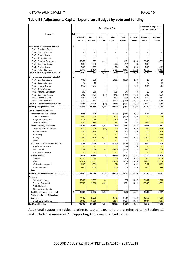#### **Table B5 Adjustments Capital Expenditure Budget by vote and funding**

|                                            |                |                           |                   | +1 2016/17               | Budget Year Budget Year +2<br>2017/18 |                          |                           |                           |                           |
|--------------------------------------------|----------------|---------------------------|-------------------|--------------------------|---------------------------------------|--------------------------|---------------------------|---------------------------|---------------------------|
| <b>Description</b>                         | Ref            | Original<br><b>Budget</b> | Prior<br>Adjusted | Nat. or<br>Prov. Govt    | Other<br>Adjusts.                     | Total<br>Adjusts.        | Adjusted<br><b>Budget</b> | Adjusted<br><b>Budget</b> | Adjusted<br><b>Budget</b> |
| Multi-year expenditure to be adjusted      | $\overline{2}$ |                           |                   |                          |                                       |                          |                           |                           |                           |
| Vote 1 - Executive & Council               |                |                           |                   |                          | $\overline{\phantom{0}}$              | $\overline{\phantom{0}}$ | -                         |                           |                           |
| Vote 2 - Corporate Services                |                | $\overline{\phantom{0}}$  | $\blacksquare$    |                          | $\overline{\phantom{0}}$              |                          | $\overline{\phantom{0}}$  |                           |                           |
| Vote 3 - Financial Services                |                | $\overline{\phantom{0}}$  | $\equiv$          |                          | $\overline{\phantom{0}}$              | $\equiv$                 | $\overline{\phantom{0}}$  |                           |                           |
| Vote 4 - Strategic Services                |                |                           |                   |                          |                                       |                          |                           |                           |                           |
| Vote 5 - Planning & Dev elopment           |                | 29,372                    | 19,372            | 6,461                    | $\blacksquare$                        | 6,461                    | 25,833                    | 22,029                    | 16,522                    |
| Vote 6 - Community Services                |                | 1,030                     | 1,030             | -                        | (422)                                 | (422)                    | 608                       | 1,000                     |                           |
| Vote 7 - Electrical Services               |                | 15,863                    | 15,932            |                          | (56)                                  | (56)                     | 15,876                    | 7,209                     | 3,432                     |
| Vote 8 - Technical Services                |                | 28.617                    | 29.407            | 325                      | (2, 490)                              | (2, 165)                 | 27,242                    | 18,170                    | 20,195                    |
| Capital multi-year expenditure sub-total   | 3              | 74,882                    | 65,741            | 6,786                    | (2,968)                               | 3,818                    | 69,559                    | 48,408                    | 40,149                    |
| Single-year expenditure to be adjusted     | $\overline{2}$ |                           |                   |                          |                                       |                          |                           |                           |                           |
| Vote 1 - Executive & Council               |                | 4,600                     | 5,600             |                          | (2,690)                               | (2,690)                  | 2,910                     | 20                        | 20                        |
| Vote 2 - Corporate Services                |                | 10                        | 10                | -                        |                                       | $\qquad \qquad -$        | 10                        | 10                        | 10                        |
| Vote 3 - Financial Services                |                | 1,975                     | 1,975             |                          | $\overline{\phantom{0}}$              |                          | 1,975                     | 1,504                     | 745                       |
| Vote 4 - Strategic Services                |                |                           |                   | $\overline{\phantom{0}}$ | $\overline{\phantom{0}}$              | $\equiv$                 |                           |                           |                           |
| Vote 5 - Planning & Dev elopment           |                | 260                       | 260               | -                        | 375                                   | 375                      | 635                       | 20                        | 20                        |
| Vote 6 - Community Services                |                | 9,952                     | 12,791            | (560)                    | (916)                                 | (1, 476)                 | 11,315                    | 6,639                     | 7,859                     |
| Vote 7 - Electrical Services               |                | 4,257                     | 5,688             | $\overline{\phantom{0}}$ | (652)                                 | (652)                    | 5,036                     | 1,427                     | 1,147                     |
| Vote 8 - Technical Services                |                | 6,747                     | 15,746            |                          | (4, 182)                              | (4, 182)                 | 11,564                    | 12,212                    | 9,042                     |
| Capital single-year expenditure sub-total  |                | 27,801                    | 42,069            | (560)                    | (8,065)                               | (8, 625)                 | 33,444                    | 21,832                    | 18,843                    |
| Total Capital Expenditure - Vote           |                | 102.683                   | 107,810           | 6,226                    | (11, 033)                             | (4, 807)                 | 103,004                   | 70,240                    | 58,992                    |
| Capital Expenditure - Standard             |                |                           |                   |                          |                                       |                          |                           |                           |                           |
| Governance and administration              |                | 6,995                     | 7,995             | -                        | (2, 113)                              | (2, 113)                 | 5,882                     | 1,744                     | 995                       |
| Executive and council                      |                | 4,600                     | 5,600             |                          | (2,690)                               | (2,690)                  | 2,910                     | 20                        | 20                        |
| Budget and treasury office                 |                | 1,215                     | 1,015             |                          | (187)                                 | (187)                    | 828                       | 120                       |                           |
| Corporate services                         |                | 1,180                     | 1,380             |                          | 764                                   | 764                      | 2,144                     | 1,604                     | 975                       |
| Community and public safety                |                | 37,304                    | 29,167            | 5,901                    | (740)                                 | 5,161                    | 34,328                    | 27,688                    | 23,851                    |
| Community and social services              |                | 5,312                     | 5,992             | (560)                    | (97)                                  | (657)                    | 5,335                     | 2,509                     | 2,509                     |
| Sport and recreation                       |                | 2,400                     | 3,548             |                          | (708)                                 | (708)                    | 2,840                     | 2,220                     | 1,600                     |
| Public safety                              |                |                           | 35                |                          |                                       | $\overline{\phantom{0}}$ | 35                        | 930                       | 3,220                     |
| Housing                                    |                | 29,592                    | 19,592            | 6,461                    | 65                                    | 6,526                    | 26,118                    | 22,029                    | 16,522                    |
| Health                                     |                |                           |                   |                          |                                       | $\equiv$                 | $\overline{\phantom{0}}$  |                           | $\qquad \qquad -$         |
| <b>Economic and environmental services</b> |                | 3,747                     | 6,533             | 325                      | (3, 373)                              | (3,048)                  | 3,485                     | 2,050                     | 1,870                     |
| Planning and development                   |                |                           |                   |                          | 310                                   | 310                      | 310                       |                           |                           |
| Road transport                             |                | 3,747                     | 6,533             | 325                      | (3,683)                               | (3, 358)                 | 3,175                     | 2,050                     | 1,870                     |
| Environmental protection                   |                |                           |                   |                          |                                       |                          | -                         |                           |                           |
| <b>Trading services</b>                    |                | 54,637                    | 64,116            | -                        | (4, 807)                              | (4, 807)                 | 59,309                    | 38,758                    | 32,276                    |
| Electricity                                |                | 20,120                    | 21,620            |                          | (708)                                 | (708)                    | 20,912                    | 8,636                     | 4,579                     |
| Water                                      |                | 20,677                    | 23,797            |                          | (3,669)                               | (3,669)                  | 20,128                    | 22,050                    | 22,075                    |
| Waste water management                     |                | 11,360                    | 15,061            |                          | (62)                                  | (62)                     | 14,999                    | 6,182                     | 5,182                     |
| Waste management                           |                | 2,480                     | 3,638             |                          | (368)                                 | (368)                    | 3,270                     | 1,890                     | 440                       |
| Other                                      |                |                           |                   |                          |                                       |                          |                           |                           |                           |
| Total Capital Expenditure - Standard       | $\mathbf{3}$   | 102,683                   | 107,810           | 6,226                    | (11, 033)                             | (4, 807)                 | 103,004                   | 70,240                    | 58,992                    |
| Funded by:                                 |                |                           |                   |                          |                                       |                          |                           |                           |                           |
| National Government                        |                | 25,532                    | 25,532            | 325                      | ÷                                     | 325                      | 25,857                    | 24,557                    | 24,505                    |
| Provincial Government                      |                | 30,733                    | 23,003            | 5,901                    | -                                     | 5,901                    | 28,904                    | 22,029                    | 16,522                    |
| <b>District Municipality</b>               |                |                           |                   |                          | -                                     | -                        |                           |                           |                           |
| Other transfers and grants                 |                |                           |                   |                          | $\qquad \qquad -$                     |                          |                           |                           |                           |
| <b>Total Capital transfers recognised</b>  | $\overline{4}$ | 56,265                    | 48,535            | 6,226                    | -                                     | 6,226                    | 54,761                    | 46,586                    | 41,027                    |
| Public contributions & donations           |                |                           |                   |                          | $\qquad \qquad -$                     |                          |                           |                           |                           |
| <b>Borrowing</b>                           |                | 14,732                    | 22,206            |                          | (4, 749)                              | (4, 749)                 | 17,458                    | 12,570                    | 10,660                    |
| Internally generated funds                 |                | 31,686                    | 37,069            |                          | (6, 284)                              | (6, 284)                 | 30,785                    | 11,084                    | 7,305                     |
| <b>Total Capital Funding</b>               |                | 102,683                   | 107,810           | 6,226                    | (11, 033)                             | (4, 807)                 | 103,004                   | 70,240                    | 58,992                    |

Additional supporting tables relating to capital expenditure are referred to in Section 11 and included in Annexure 2 – Supporting Adjustment Budget Tables.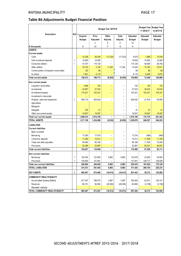#### **Table B6 Adjustments Budget Financial Position**

|                                          |                |               |           | Budget Year 2015/16      |                          |               | +1 2016/17 | <b>Budget Year Budget Year</b><br>+2 2017/18 |
|------------------------------------------|----------------|---------------|-----------|--------------------------|--------------------------|---------------|------------|----------------------------------------------|
| Description                              | Ref            | Original      | Prior     | Other                    | Total                    | Adjusted      | Adjusted   | Adjusted                                     |
|                                          |                | <b>Budget</b> | Adjusted  | Adjusts.                 | Adjusts.                 | <b>Budget</b> | Budget     | <b>Budget</b>                                |
|                                          |                |               | 3         | 8                        | 9                        | 10            |            |                                              |
| R thousands                              |                | Α             | A1        | F                        | G                        | H             |            |                                              |
| <b>ASSETS</b>                            |                |               |           |                          |                          |               |            |                                              |
| <b>Current assets</b>                    |                |               |           |                          |                          |               |            |                                              |
| Cash                                     |                | 12,338        | 26,302    | (17, 232)                | (17, 232)                | 9,070         | 1,688      | 73,038                                       |
| Call investment deposits                 | 1              | 10,000        | 10,000    | -                        |                          | 10,000        | 10,000     | 10,000                                       |
| Consumer debtors                         | 1              | 72,107        | 115,125   |                          |                          | 115,125       | 40,946     | 38,750                                       |
| Other debtors                            |                | 18,102        | 3,102     | 11,202                   | 11,202                   | 14,304        | 15,162     | 16,071                                       |
| Current portion of long-term receivables |                | 125           | 68        |                          |                          | 68            | 68         | 68                                           |
| Inventory                                |                | 7,841         | 6,118     |                          |                          | 6,118         | 6,485      | 6,874                                        |
| <b>Total current assets</b>              |                | 120,513       | 160,713   | (6,030)                  | (6,030)                  | 154,683       | 74,348     | 144,800                                      |
| Non current assets                       |                |               |           |                          |                          |               |            |                                              |
| Long-term receiv ables                   |                | 1,968         | 125       |                          |                          | 125           | 125        | 125                                          |
| Investments                              |                | 23,857        | 27,033    |                          |                          | 27,033        | 30,033     | 33.033                                       |
| Investment property                      |                | 110,321       | 103,321   | $\overline{\phantom{0}}$ | $\overline{\phantom{a}}$ | 103,321       | 103,321    | 103,321                                      |
| Investment in Associate                  |                |               |           |                          |                          |               |            |                                              |
| Property, plant and equipment            | $\mathbf{1}$   | 940.712       | 924,632   | $\overline{\phantom{0}}$ |                          | 924,632       | 21,616     | 45,859                                       |
| Agricultural                             |                |               |           |                          |                          |               |            |                                              |
| Biological                               |                |               |           |                          |                          |               |            |                                              |
| Intangible                               |                | 700           | 27        | ۳                        |                          | 27            | 27         | 27                                           |
| Other non-current assets                 |                | 19,057        | 19,057    |                          |                          | 19,057        | 19,057     | 19,057                                       |
| Total non current assets                 |                | 1,096,615     | 1,074,195 |                          |                          | 1,074,195     | 174,179    | 201,422                                      |
| <b>TOTAL ASSETS</b>                      |                | 1,217,128     | 1,234,908 | (6, 030)                 | (6, 030)                 | 1,228,878     | 248,527    | 346,223                                      |
|                                          |                |               |           |                          |                          |               |            |                                              |
| <b>LIABILITIES</b>                       |                |               |           |                          |                          |               |            |                                              |
| <b>Current liabilities</b>               |                |               |           |                          |                          |               |            |                                              |
| Bank ov erdraft                          |                |               |           |                          |                          |               |            |                                              |
| Borrow ing                               |                | 17,500        | 17,016    | ÷                        |                          | 17,016        | (484)      | (484)                                        |
| Consumer deposits                        |                | 11,246        | 10,413    |                          |                          | 10,413        | 11,038     | 11,700                                       |
| Trade and other pay ables                |                | 54,495        | 65,180    | $=$                      |                          | 65,180        | 11,345     | 12,045                                       |
| Prov isions                              |                | 22,386        | 23,897    | ÷,                       |                          | 23,897        | 25,331     | 26,851                                       |
| <b>Total current liabilities</b>         |                | 105,627       | 116,506   | -                        |                          | 116,506       | 47,229     | 50,111                                       |
| Non current liabilities                  |                |               |           |                          |                          |               |            |                                              |
| Borrow ing                               | 1              | 100,354       | 123,095   | 9,983                    | 9,983                    | 133,078       | 33,209     | 33,693                                       |
| Prov isions                              | 1              | 125,650       | 121,841   |                          |                          | 121,841       | 128,717    | 136,426                                      |
| Total non current liabilities            |                | 226,004       | 244,936   | 9,983                    | 9,983                    | 254,919       | 161,925    | 170,120                                      |
| <b>TOTAL LIABILITIES</b>                 |                | 331,631       | 361,442   | 9,983                    | 9,983                    | 371,425       | 209,155    | 220,231                                      |
| <b>NET ASSETS</b>                        | $\overline{2}$ | 885,497       | 873,466   | (16, 013)                | (16, 013)                | 857,453       | 39,373     | 125,992                                      |
| <b>COMMUNITY WEALTH/EQUITY</b>           |                |               |           |                          |                          |               |            |                                              |
| Accumulated Surplus/(Deficit)            |                | 817,347       | 788,475   | 3,987                    | 3,987                    | 792,462       | 42,531     | 129,151                                      |
| Reserves                                 |                | 68,151        | 84,992    | (20,000)                 | (20,000)                 | 64,992        | (3, 159)   | (3, 159)                                     |
| Minorities' interests                    |                |               |           |                          |                          |               |            |                                              |
| TOTAL COMMUNITY WEALTH/EQUITY            |                | 885,497       | 873,467   | (16, 013)                | (16, 013)                | 857,454       | 39,373     | 125,992                                      |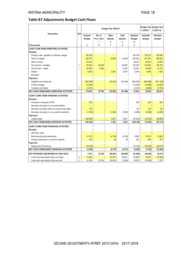#### **Table B7 Adjustments Budget Cash Flows**

|                                                   |                |               |                          | Budget Year 2015/16 |              |               | +1 2016/17    | <b>Budget Year Budget Year</b><br>+2 2017/18 |
|---------------------------------------------------|----------------|---------------|--------------------------|---------------------|--------------|---------------|---------------|----------------------------------------------|
| Description                                       | Ref            | Original      | Nat. or                  | Other               | <b>Total</b> | Adjusted      | Adjusted      | Adjusted                                     |
|                                                   |                | <b>Budget</b> | Prov. Govt               | Adjusts.            | Adjusts.     | <b>Budget</b> | <b>Budget</b> | Budget                                       |
|                                                   |                |               | $\overline{7}$           | 8                   | 9            | 10            |               |                                              |
| R thousands                                       |                | A             | E                        | F                   | G            | H             |               |                                              |
| <b>CASH FLOW FROM OPERATING ACTIVITIES</b>        |                |               |                          |                     |              |               |               |                                              |
| <b>Receipts</b>                                   |                |               |                          |                     |              |               |               |                                              |
| Property rates, penalties & collection charges    |                | 165,709       |                          |                     |              | 165,709       | 182,273       | 195,096                                      |
| Service charges                                   |                | 285,376       |                          | (2, 850)            | (2, 850)     | 282,526       | 331,453       | 368.528                                      |
| Other revenue                                     |                | 29,327        |                          |                     |              | 29,327        | 28,542        | 33,047                                       |
| Government - operating                            | 1              | 93,803        | 29,480                   |                     | 29,480       | 123,283       | 104,483       | 108,783                                      |
| Government - capital                              | 1              | 56,265        | 6,226                    |                     | 6,226        | 62,491        | 46,586        | 41,027                                       |
| Interest                                          |                | 6,565         |                          | 2.000               | 2,000        | 8,565         | 6,965         | 7.485                                        |
| Div idends                                        |                |               |                          |                     |              |               |               |                                              |
| Payments                                          |                |               |                          |                     |              |               |               |                                              |
| Suppliers and employees                           |                | (502, 399)    |                          | (82, 245)           | (82, 245)    | (584, 644)    | (656,088)     | (611, 189)                                   |
| Finance charges                                   |                | (13, 962)     |                          |                     |              | (13, 962)     | (15, 586)     | (16, 520)                                    |
| <b>Transfers and Grants</b>                       | 1              | (5,631)       |                          |                     |              | (5,631)       | (5,665)       | (5,781)                                      |
| <b>NET CASH FROM/(USED) OPERATING ACTIVITIES</b>  |                | 115,053       | 35,706                   | (83,095)            | (47, 390)    | 67,663        | 22,964        | 120,474                                      |
| <b>CASH FLOWS FROM INVESTING ACTIVITIES</b>       |                |               |                          |                     |              |               |               |                                              |
| Receipts                                          |                |               |                          |                     |              |               |               |                                              |
| Proceeds on disposal of PPE                       |                | 250           |                          |                     |              | 250           | 250           | 250                                          |
| Decrease (Increase) in non-current debtors        |                |               |                          |                     |              |               |               |                                              |
| Decrease (increase) other non-current receivables |                | 125           |                          |                     |              | 125           | 125           | 125                                          |
| Decrease (increase) in non-current investments    |                | (1, 136)      |                          | (1, 562)            | (1, 562)     | (2,698)       | (2,698)       | (2,698)                                      |
| Payments                                          |                |               |                          |                     |              |               |               |                                              |
| Capital assets                                    |                | (102, 683)    |                          | 4,807               | 4,807        | (97, 876)     | (70, 240)     | (58, 992)                                    |
| <b>NET CASH FROM/(USED) INVESTING ACTIVITIES</b>  |                | (103, 444)    | $\overline{\phantom{0}}$ | 3,245               | 3,245        | (100, 199)    | (72, 563)     | (61, 315)                                    |
| <b>CASH FLOWS FROM FINANCING ACTIVITIES</b>       |                |               |                          |                     |              |               |               |                                              |
| <b>Receipts</b>                                   |                |               |                          |                     |              |               |               |                                              |
| Short term loans                                  |                |               |                          |                     |              |               |               |                                              |
| Borrowing long term/refinancing                   |                | 14,732        |                          | (4, 749)            | (4, 749)     | 9,983         | 12,570        | 10,660                                       |
| Increase (decrease) in consumer deposits          |                | 433           |                          | (8)                 | (8)          | 425           | 450           | 477                                          |
| Payments                                          |                |               |                          |                     |              |               |               |                                              |
| Repay ment of borrowing                           |                | (19, 700)     |                          |                     |              | (19, 700)     | (20, 353)     | (25, 077)                                    |
| NET CASH FROM/(USED) FINANCING ACTIVITIES         |                | (4, 536)      |                          | (4, 757)            | (4, 757)     | (9, 292)      | (7, 333)      | (13, 940)                                    |
| NET INCREASE/ (DECREASE) IN CASH HELD             |                | 7,073         | 35,706                   | (84, 607)           | (48, 902)    | (41, 828)     | (56, 932)     | 45,219                                       |
| Cash/cash equivalents at the year begin:          | 2              | 15,265        |                          | 45,633              | 45,633       | 60,898        | 19,070        | (37, 863)                                    |
| Cash/cash equivalents at the year end:            | $\overline{2}$ | 22,338        | 35,706                   | (38, 974)           | (3, 269)     | 19,070        | (37, 863)     | 7,357                                        |
|                                                   |                |               |                          |                     |              |               |               |                                              |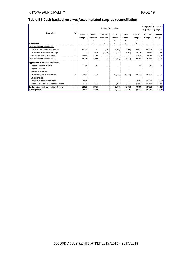#### **Table B8 Cash backed reserves/accumulated surplus reconciliation**

| <b>Description</b>                         | Ref |           |          |            | +1 2016/17 | Budget Year Budget Year<br>+2 2017/18 |           |               |               |
|--------------------------------------------|-----|-----------|----------|------------|------------|---------------------------------------|-----------|---------------|---------------|
|                                            |     | Original  | Prior    | Nat. or    | Other      | <b>Total</b>                          | Adjusted  | Adjusted      | Adjusted      |
|                                            |     | Budget    | Adjusted | Prov. Govt | Adjusts.   | Adjusts.                              | Budget    | <b>Budget</b> | <b>Budget</b> |
|                                            |     |           | 3        |            | 8          | 9                                     | 10        |               |               |
| <b>R</b> thousands                         |     | А         | A1       | E          | F          | G                                     | н         |               |               |
| Cash and investments available             |     |           |          |            |            |                                       |           |               |               |
| Cash/cash equivalents at the year end      |     | 22,338    |          | 35,706     | (38, 974)  | (3,269)                               | 19,070    | (37, 863)     | 7,357         |
| Other current investments > 90 days        |     | 0         | 36,302   | (35, 706)  | 21,742     | (13, 963)                             | 22,338    | 49,551        | 75,681        |
| Non current assets - Investments           |     | 23,857    | 27,033   |            |            |                                       | 27,033    | 30,033        | 33,033        |
| Cash and investments available:            |     | 46,195    | 63,335   |            | (17, 232)  | (17, 232)                             | 68.441    | 41.721        | 116,071       |
| Applications of cash and investments       |     |           |          |            |            |                                       |           |               |               |
| Unspent conditional transfers              |     | 1,754     | (315)    |            |            |                                       | 315       | 315           | 315           |
| Unspent borrow ing                         |     |           |          |            |            |                                       |           |               |               |
| Statutory requirements                     |     |           |          |            |            |                                       |           |               |               |
| Other working capital requirements         | 2   | (24, 816) | 11,000   |            | (53, 139)  | (53, 139)                             | (42, 139) | (35, 581)     | (33, 951)     |
| Other provisions                           |     |           |          |            |            |                                       |           |               |               |
| Long term investments committed            |     | 23,857    |          |            |            |                                       | (23, 857) | (25,050)      | (26, 302)     |
| Reserves to be backed by cash/investments  |     | 21,728    | 17,806   |            | 3,272      | 3,272                                 | (5,000)   | (27, 450)     | (33, 184)     |
| Total Application of cash and investments: |     | 22,523    | 28,491   |            | (49, 867)  | (49, 867)                             | (70, 681) | (87, 766)     | (93, 123)     |
| Surplus(shortfall)                         |     | 23,672    | 34,843   |            | 32,635     | 32,635                                | (2, 240)  | (46, 045)     | 22,948        |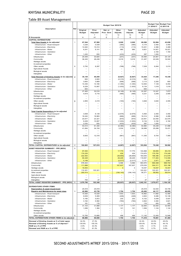#### KNYSNA MUNICIPALITY PAGE 20

#### Table B9 Asset Management

|                                                                 |                |                           |                                 | Budget Year 2015/16                                  |                          |                          |                                            | +1 2016/17                | Budget Year Budget Year<br>+2 2017/18 |
|-----------------------------------------------------------------|----------------|---------------------------|---------------------------------|------------------------------------------------------|--------------------------|--------------------------|--------------------------------------------|---------------------------|---------------------------------------|
| Description                                                     | Ref            | Original<br><b>Budget</b> | Prior<br>Adjusted               | Nat. or<br>Prov. Govt                                | Other<br>Adjusts.        | <b>Total</b><br>Adjusts. | Adjusted<br><b>Budget</b>                  | Adjusted<br><b>Budget</b> | Adjusted<br><b>Budget</b>             |
| R thousands                                                     |                | Α                         | 7<br>A <sub>1</sub>             | 11<br>E                                              | 12<br>F                  | 13<br>G                  | 14<br>н                                    |                           |                                       |
| <b>CAPITAL EXPENDITURE</b>                                      |                |                           |                                 |                                                      |                          |                          |                                            |                           |                                       |
| <b>Total New Assets to be adjusted</b>                          | 1              | 67,544                    | 67,560                          |                                                      | 2,020                    | 2,020                    | 69,580                                     | 52,994                    | 43,656                                |
| Infrastructure - Road transport                                 |                | 3,238                     | 5,539                           | $\overline{\phantom{0}}$                             | (365)                    | (365)                    | 5,174                                      | 2,450                     | 3,450                                 |
| Infrastructure - Electricity<br>Infrastructure - Water          |                | 14,640<br>6,241           | 15,314<br>9,141                 | $\overline{\phantom{0}}$<br>$\equiv$                 | (113)<br>680             | (113)<br>680             | 15,201<br>9,821                            | 4,366<br>14,921           | 3,489<br>16,021                       |
| Infrastructure - Sanitation                                     |                |                           | $\equiv$                        | $\overline{\phantom{0}}$                             | ÷                        | $\equiv$                 |                                            | 2,164                     | 1,164                                 |
| Infrastructure - Other                                          |                | 1,430                     | 830                             | $\overline{\phantom{m}}$                             | (433)                    | (433)                    | 397                                        | 1,000                     |                                       |
| Infrastructure                                                  |                | 25,549                    | 30.825                          | $\overline{\phantom{a}}$                             | (231)                    | (231)                    | 30,594                                     | 24,901                    | 24,124                                |
| Community                                                       |                | 36,245                    | 28.438                          | $\overline{\phantom{a}}$                             | 3,019                    | 3,019                    | 31,457                                     | 22,029                    | 16,522                                |
| Heritage assets                                                 |                | $\overline{\phantom{0}}$  | $\equiv$                        | $\overline{\phantom{0}}$                             | $\overline{\phantom{0}}$ | $\overline{\phantom{m}}$ | $\qquad \qquad -$                          | $\overline{\phantom{0}}$  |                                       |
| Investment properties                                           |                |                           |                                 | L.                                                   |                          |                          | $\overline{\phantom{0}}$                   |                           |                                       |
| Other assets                                                    | 6              | 5,750                     | 8,297                           |                                                      | (768)                    | (768)                    | 7,529                                      | 6,064                     | 3,010                                 |
| <b>Agricultural Assets</b>                                      |                |                           | $\equiv$                        | $\overline{\phantom{0}}$<br>$\equiv$                 |                          |                          | -                                          |                           |                                       |
| <b>Biological assets</b><br>Intangibles                         |                |                           | -                               |                                                      | $\overline{\phantom{0}}$ | $\equiv$                 | $\overline{\phantom{0}}$<br>$\overline{a}$ |                           |                                       |
|                                                                 |                |                           |                                 |                                                      |                          |                          |                                            |                           |                                       |
| <b>Total Renewal of Existing Assets to be adjusted</b>          | $\overline{2}$ | 35,139                    | 40,250                          | $\overline{\phantom{0}}$<br>$\overline{\phantom{0}}$ | (6, 827)                 | (6, 827)                 | 33,424<br>290                              | 17,246                    | 15,336                                |
| Infrastructure - Road transport<br>Infrastructure - Electricity |                | 600<br>3,600              | 2,600<br>3,669                  |                                                      | (2, 310)<br>(556)        | (2, 310)<br>(556)        | 3, 113                                     | 2,200                     | 800                                   |
| Infrastructure - Water                                          |                | 14,436                    | 14,180                          | $\overline{\phantom{0}}$                             | (1, 350)                 | (1, 350)                 | 12,830                                     | 7,129                     | 6,054                                 |
| Infrastructure - Sanitation                                     |                | 8,229                     | 10,067                          | $\overline{a}$                                       | (1, 933)                 | (1, 933)                 | 8,134                                      | 1,018                     | 1,018                                 |
| Infrastructure - Other                                          |                | 600                       |                                 | $\overline{\phantom{0}}$                             |                          |                          | 600                                        |                           |                                       |
| Infrastructure                                                  |                | 27,465                    | 30,516                          | $\overline{\phantom{0}}$                             | (6, 149)                 | (6, 149)                 | 24,367                                     | 10,347                    | 7,872                                 |
| Community                                                       |                | 4,819                     | 5,716                           | $\overline{\phantom{0}}$                             | (485)                    | (485)                    | 5,231                                      | 3,259                     | 2,909                                 |
| Heritage assets                                                 |                | -                         | $\overline{\phantom{0}}$        |                                                      | -                        | $\qquad \qquad =$        | $\overline{\phantom{m}}$                   | $\overline{\phantom{m}}$  | $\overline{\phantom{m}}$              |
| Investment properties                                           |                |                           | $=$                             | $\overline{\phantom{0}}$                             |                          | $\equiv$                 |                                            |                           |                                       |
| Other assets                                                    | 6              | 2,855                     | 4,019                           | $\overline{\phantom{0}}$                             | (193)                    | (193)                    | 3,826                                      | 3,640                     | 4,555                                 |
| <b>Agricultural Assets</b>                                      |                | -                         | $\equiv$                        | $\overline{\phantom{0}}$                             | -                        | $\overline{ }$           | -                                          |                           |                                       |
| Biological assets                                               |                |                           | $\overline{\phantom{0}}$        |                                                      |                          |                          |                                            |                           |                                       |
| Intangibles                                                     |                |                           | $\overline{\phantom{0}}$        | $\overline{\phantom{0}}$                             |                          |                          |                                            |                           |                                       |
| Total Capital Expenditure to be adjusted                        | 4              |                           |                                 |                                                      |                          |                          |                                            |                           |                                       |
| Infrastructure - Road transport                                 |                | 3,838                     | 8,139                           |                                                      | (2,675)                  | (2,675)                  | 5,464                                      | 2,450                     | 3,450                                 |
| Infrastructure - Electricity                                    |                | 18,240                    | 18,983                          | $\overline{\phantom{0}}$                             | (669)                    | (669)                    | 18,314                                     | 6,566                     | 4,289                                 |
| Infrastructure - Water<br>Infrastructure - Sanitation           |                | 20,677<br>8,229           | 23,321<br>10,067                | $\overline{a}$                                       | (670)<br>(1, 933)        | (670)<br>(1, 933)        | 22,651<br>8,134                            | 22,050<br>3,182           | 22,075<br>2,182                       |
| Infrastructure - Other                                          |                | 2,030                     | 830                             | $\overline{\phantom{0}}$                             | (433)                    | (433)                    | 397                                        | 1,000                     |                                       |
| Infrastructure                                                  |                | 53,014                    | 61,340                          |                                                      | (6, 380)                 | (6, 380)                 | 54,960                                     | 35,248                    | 31,996                                |
| Community                                                       |                | 41,064                    | 34,154                          | $\overline{\phantom{0}}$                             | 2,534                    | 2,534                    | 36,688                                     | 25,288                    | 19,431                                |
| Heritage assets                                                 |                |                           | $\overline{\phantom{0}}$        |                                                      |                          | $\overline{\phantom{0}}$ | $\equiv$                                   |                           |                                       |
| Investment properties                                           |                |                           |                                 | $\overline{\phantom{0}}$                             |                          | $\equiv$                 |                                            |                           |                                       |
| Other assets                                                    |                | 8,605                     | 12,316                          | $\overline{\phantom{0}}$                             | (961)                    | (961)                    | 11,355                                     | 9,704                     | 7,565                                 |
| <b>Agricultural Assets</b>                                      |                |                           | -                               | $\overline{a}$                                       | -                        | -                        | $\qquad \qquad -$                          |                           |                                       |
| <b>Biological assets</b>                                        |                | $\overline{\phantom{0}}$  | $\overline{\phantom{0}}$        | $\overline{\phantom{0}}$                             | $\overline{\phantom{0}}$ | $\equiv$                 | $\overline{\phantom{0}}$                   |                           |                                       |
| Intangibles                                                     |                |                           |                                 | $\equiv$                                             |                          |                          |                                            |                           |                                       |
| TOTAL CAPITAL EXPENDITURE to be adjusted                        | $\overline{c}$ | 102,683                   | 107,810                         | $\overline{\phantom{a}}$                             | (4, 807)                 | (4, 807)                 | 103,004                                    | 70,240                    | 58,992                                |
| <b>ASSET REGISTER SUMMARY - PPE (WDV)</b>                       | 5              |                           |                                 |                                                      |                          |                          |                                            |                           |                                       |
| Infrastructure - Road transport                                 |                | 87,093                    |                                 |                                                      | 17,775                   | 17,775                   | 104,868                                    | 99,895                    | 95,418                                |
| Infrastructure - Electricity<br>Infrastructure - Water          |                | 174,235<br>222.500        |                                 |                                                      | 434<br>(38, 855)         | 434<br>(38, 855)         | 174,670<br>183,645                         | 175,783<br>198,396        | 174,249<br>212,678                    |
| Infrastructure - Sanitation                                     |                | 90,428                    |                                 |                                                      | 28,229                   | 28,229                   | 118,657                                    | 117,263                   | 114,559                               |
| Infrastructure - Other                                          |                | 4,148                     |                                 |                                                      | (2,017)                  | (2,017)                  | 2,131                                      | 2,971                     | 2,801                                 |
| Infrastructure                                                  |                | 578,404                   | $\equiv$                        | $\qquad \qquad -$                                    | 5,566                    | 5,566                    | 583,970                                    | 594,308                   | 599,704                               |
| Community                                                       |                | 111,898                   |                                 |                                                      | 167,637                  | 167,637                  | 279,535                                    | 304,311                   | 323,196                               |
| Heritage assets                                                 |                | 19,053                    |                                 |                                                      | 4                        | 4                        | 19,057                                     | 19,057                    | 19,057                                |
| Inv estment properties                                          |                | 110,321                   | 103,321                         | $\qquad \qquad -$                                    |                          |                          | 103,321                                    | 103,321                   | 103,321                               |
| Other assets                                                    |                | 250,414                   |                                 |                                                      | (194, 143)               | (194, 143)               | 56,271                                     | 58,852                    | 58,814                                |
| <b>Agricultural Assets</b><br><b>Biological assets</b>          |                |                           | $\overline{\phantom{0}}$<br>$=$ | $\overline{\phantom{0}}$<br>$\overline{\phantom{0}}$ |                          | $\overline{\phantom{0}}$ | $\overline{\phantom{0}}$                   | $\overline{\phantom{0}}$  |                                       |
| Intangibles                                                     |                | 700                       | 27                              |                                                      |                          |                          | 27                                         | 27                        | 27                                    |
| TOTAL ASSET REGISTER SUMMARY - PPE (WDV)                        | 5              | 1,070,790                 | 103,348                         | $\overline{\phantom{a}}$                             | (20, 937)                | (20, 937)                | 1,042,181                                  | 1,079,877                 | 1,104,120                             |
|                                                                 |                |                           |                                 |                                                      |                          |                          |                                            |                           |                                       |
| <b>EXPENDITURE OTHER ITEMS</b>                                  |                |                           |                                 |                                                      |                          |                          |                                            |                           |                                       |
| Depreciation & asset impairment                                 |                | 25,918                    | 25,918                          |                                                      |                          |                          | 25,918                                     | 32,544                    | 34,749                                |
| Repairs and Maintenance by asset class                          | 3              | 42,968<br>15,936          | 43,738                          | $\overline{\phantom{0}}$<br>$\overline{\phantom{0}}$ | 1,754                    | 1,754                    | 45,492                                     | 44,117                    | 46,655                                |
| Infrastructure - Road transport<br>Infrastructure - Electricity |                | 6,639                     | 15,029<br>5,069                 | $\overline{\phantom{0}}$                             | 1,933<br>(226)           | 1,933<br>(226)           | 16,962<br>4,843                            | 11,682<br>9,486           | 12,480<br>10,146                      |
| Infrastructure - Water                                          |                | 5,185                     | 5,872                           | $\overline{\phantom{a}}$                             | 230                      | 230                      | 6,102                                      | 5,548                     | 5,937                                 |
| Infrastructure - Sanitation                                     |                | 3,162                     | 5,582                           | $\equiv$                                             | (760)                    | (760)                    | 4,822                                      | 3,384                     | 3,621                                 |
| Infrastructure - Other                                          |                | 181                       | 116                             |                                                      |                          |                          | 116                                        | 400                       | 400                                   |
| Infrastructure                                                  |                | 31,103                    | 31,668                          | isti                                                 | 1,177                    | 1,177                    | 32,845                                     | 30,500                    | 32,583                                |
| Community                                                       |                | 1,099                     | 1,384                           | $\qquad \qquad -$                                    | 121                      | 121                      | 1,506                                      | 1,124                     | 1,124                                 |
| Heritage assets                                                 |                |                           |                                 |                                                      |                          | $\equiv$                 |                                            |                           |                                       |
| Investment properties                                           |                |                           |                                 | $\overline{\phantom{0}}$                             |                          | $\equiv$                 |                                            |                           |                                       |
| Other assets                                                    | 6              | 10,765                    | 10,685                          |                                                      | 456                      | 456                      | 11,142                                     | 12,493                    | 12,948                                |
| TOTAL EXPENDITURE OTHER ITEMS to be adjusted                    |                | 68,886                    | 69,656                          | $\qquad \qquad -$                                    | 1,754                    | 1,754                    | 71,410                                     | 76,661                    | 81,404                                |
| Renewal of Existing Assets as % of total capex                  |                | 34.2%                     | 37.3%                           |                                                      |                          |                          | 32.4%                                      | 24.6%                     | 26.0%                                 |
| Renewal of Existing Assets as % of deprecn"                     |                | 135.6%                    | 155.3%                          |                                                      |                          |                          | 129.0%                                     | 53.0%                     | 44.1%                                 |
| R&M as a % of PPE                                               |                | 4.0%                      | 42.3%                           |                                                      |                          |                          | 4.4%                                       | 4.1%                      | 4.2%                                  |
| Renewal and R&M as a % of PPE                                   |                | 7.3%                      | 81.3%                           |                                                      |                          |                          | 7.6%                                       | 5.7%                      | 5.6%                                  |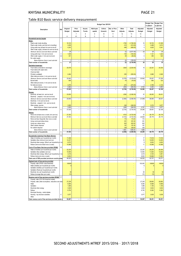#### KNYSNA MUNICIPALITY **PAGE 21**

#### Table B10 Basic service delivery measurement

|                                                                                                    |                  |                           |                                            |                               |                                            | Budget Year 2015/16                        |                          |                   |                          |                           | <b>Budget Year</b><br>+1 2016/17 | <b>Budget Year</b><br>+2 2017/18 |
|----------------------------------------------------------------------------------------------------|------------------|---------------------------|--------------------------------------------|-------------------------------|--------------------------------------------|--------------------------------------------|--------------------------|-------------------|--------------------------|---------------------------|----------------------------------|----------------------------------|
| Description                                                                                        | Ref              | Original<br><b>Budget</b> | Prior<br>Adjusted                          | Accum.<br>Funds               | Multi-year<br>capital                      | Unfore.<br>Unavoid.                        | Nat. or Prov.<br>Govt    | Other<br>Adjusts. | <b>Total</b><br>Adjusts. | Adjusted<br><b>Budget</b> | Adjusted<br><b>Budget</b>        | Adjusted<br><b>Budget</b>        |
|                                                                                                    |                  |                           | $\overline{7}$                             | 8                             | 9                                          | 10                                         | 11                       | 12                | 13                       | 14                        |                                  |                                  |
|                                                                                                    |                  | Α                         | A1                                         | B                             | С                                          | D                                          | E                        | F                 | G                        | Η                         |                                  |                                  |
| Household service targets                                                                          | 1                |                           |                                            |                               |                                            |                                            |                          |                   |                          |                           |                                  |                                  |
| Water:                                                                                             |                  |                           |                                            |                               |                                            |                                            |                          |                   |                          |                           |                                  |                                  |
| Piped water inside dwelling                                                                        |                  | 18,103                    |                                            |                               |                                            |                                            |                          | $-1762$           | (1,762.00)               | 16                        | 19,732                           | 21,508                           |
| Piped water inside y ard (but not in dwelling)<br>Using public tap (at least min.service level)    | $\boldsymbol{2}$ | 3,209<br>4,243            |                                            |                               |                                            |                                            |                          | $-310$<br>$-499$  | (310.00)<br>(499.00)     | 3<br>$\overline{4}$       | 3,498<br>4,625                   | 3,813<br>5,041                   |
| Other water supply (at least min.service level)                                                    |                  |                           |                                            |                               |                                            |                                            |                          |                   |                          |                           |                                  |                                  |
| Minimum Service Level and Above sub-total                                                          |                  | $\overline{26}$           | $\overline{a}$                             | $\overline{a}$                | $\overline{a}$                             | $\overline{a}$                             | $\overline{a}$           | (3)               | (2, 571.00)              | $\overline{23}$           | 28                               | $\overline{30}$                  |
| Using public tap (< min.service level)                                                             | 3                | 1,029                     |                                            |                               |                                            |                                            |                          | $-100$            | (100.00)                 | 1                         | 1,121                            | 1,222                            |
| Other water supply (< min.service level)                                                           | 3,4              | 441                       |                                            |                               |                                            |                                            |                          | $-59$             | (59.00)                  | $\mathsf{0}$              | 480                              | 524                              |
| No water supply<br>Below Minimum Servic Level sub-total                                            |                  | 1                         | $\overline{a}$                             | $\overline{a}$                | $\overline{\phantom{a}}$                   | $\overline{a}$                             | $\frac{1}{2}$            | (0)               | (159.00)                 | 1                         | 2                                | $\overline{2}$                   |
| Total number of households                                                                         | 5                | $\overline{27}$           | $\overline{\phantom{a}}$                   | $\overline{\phantom{0}}$      | $\overline{a}$                             | $\overline{a}$                             | $\overline{\phantom{a}}$ | (3)               | (2,730.00)               | 24                        | $\overline{29}$                  | $\overline{32}$                  |
| Sanitation/sewerage:                                                                               |                  |                           |                                            |                               |                                            |                                            |                          |                   |                          |                           |                                  |                                  |
| Flush toilet (connected to sew erage)                                                              |                  | 20,478                    |                                            |                               |                                            |                                            |                          | $-2024$           | (2,024.00)               | 18                        | 22,321                           | 24,330                           |
| Flush toilet (with septic tank)                                                                    |                  |                           |                                            |                               |                                            |                                            |                          |                   |                          |                           |                                  |                                  |
| Chemical toilet                                                                                    |                  |                           |                                            |                               |                                            |                                            |                          |                   |                          | ÷                         |                                  |                                  |
| Pit toilet (ventilated)                                                                            |                  | 2,464                     |                                            |                               |                                            |                                            |                          | $-355$            | (355.00)                 | $\overline{2}$            | 2,686                            | 2,928                            |
| Other toilet provisions (> min.service level)<br>Minimum Service Level and Above sub-total         |                  | 22,942                    | $\overline{a}$                             | ۰                             | $\overline{\phantom{a}}$                   | $\overline{a}$                             | $\frac{1}{2}$            | (2, 379)          | (2,379.00)               | 20,563                    | 25,007                           | 27,258                           |
| <b>Bucket toilet</b>                                                                               |                  | 606                       |                                            |                               |                                            |                                            |                          | $-78$             | (78.00)                  | 1                         | 660                              | 720                              |
| Other toilet provisions (< min.service level)                                                      |                  |                           |                                            |                               |                                            |                                            |                          |                   |                          |                           |                                  |                                  |
| No toilet provisions                                                                               |                  | 3,476                     |                                            |                               |                                            |                                            |                          | $-272$            | (272.00)                 | 3                         | 3,789                            | 4,130                            |
| Below Minimum Servic Level sub-total<br>Total number of households                                 | 5                | 4,082<br>27,025           | $\overline{\phantom{a}}$<br>$\overline{a}$ | ۰<br>$\overline{\phantom{0}}$ | $\overline{\phantom{0}}$<br>$\overline{a}$ | $\overline{a}$<br>$\overline{\phantom{a}}$ | $\overline{a}$           | (350)             | (350.00)<br>(2,729.00)   | 3,732<br>24,296           | 4,450<br>29,457                  | 4,850<br>32,108                  |
|                                                                                                    |                  |                           |                                            |                               |                                            |                                            | $\overline{\phantom{0}}$ | (2, 729)          |                          |                           |                                  |                                  |
| Energy:<br>Electricity (at least min. service level)                                               |                  | 23,930                    |                                            |                               |                                            |                                            |                          | $-2382$           | (2,382.00)               | 22                        | 26,083                           | 28,431                           |
| Electricity - prepaid (> min.service level)                                                        |                  |                           |                                            |                               |                                            |                                            |                          |                   |                          | $\overline{\phantom{a}}$  |                                  |                                  |
| Minimum Service Level and Above sub-total                                                          |                  | 23,930                    | $\overline{a}$                             | $\overline{a}$                | L,                                         |                                            | $\overline{a}$           | (2, 382)          | (2,382.00)               | 21,548                    | 26,083                           | 28,431                           |
| Electricity (< min.service level)                                                                  |                  |                           |                                            |                               |                                            |                                            |                          |                   |                          |                           |                                  |                                  |
| Electricity - prepaid (< min. service level)                                                       |                  |                           |                                            |                               |                                            |                                            |                          |                   |                          | ٠                         |                                  |                                  |
| Other energy sources<br>Below Minimum Servic Level sub-total                                       |                  | 3,095<br>3,095            | -                                          | -                             |                                            |                                            |                          | $-348$<br>(348)   | (348.00)<br>(348.00)     | 3<br>2,747                | 3,374<br>3,374                   | 3,677<br>3,677                   |
| Total number of households                                                                         | 5                | 27,025                    | $\overline{a}$                             | $\overline{a}$                | -<br>$\overline{a}$                        | -<br>$\overline{a}$                        | -<br>$\overline{a}$      | (2,730)           | (2,730.00)               | 24,295                    | 29,457                           | 32,108                           |
| <u>Refuse:</u>                                                                                     |                  |                           |                                            |                               |                                            |                                            |                          |                   |                          |                           |                                  |                                  |
| Removed at least once a week (min.service)                                                         |                  | 27,353                    |                                            |                               |                                            |                                            |                          | $-4723$           | (4, 723.00)              | 23                        | 28,179                           | 28,179                           |
| Minimum Service Level and Above sub-total                                                          |                  | 27,353                    | ÷                                          |                               |                                            | $\overline{a}$                             | $\overline{a}$           | (4, 723)          | (4, 723.00)              | 22,630                    | 28,179                           | 28,179                           |
| Removed less frequently than once a week                                                           |                  |                           |                                            |                               |                                            |                                            |                          | 172               | 172.00                   | 172                       |                                  |                                  |
| Using communal refuse dump                                                                         |                  |                           |                                            |                               |                                            |                                            |                          | 351               | 351.00                   | 351                       |                                  |                                  |
| Using own refuse dump<br>Other rubbish disposal                                                    |                  |                           |                                            |                               |                                            |                                            |                          | 622<br>191        | 622.00<br>191.00         | 622<br>191                |                                  |                                  |
| No rubbish disposal                                                                                |                  |                           |                                            |                               |                                            |                                            |                          | 329               | 329.00                   | 329                       |                                  |                                  |
| Below Minimum Servic Level sub-total                                                               |                  |                           | $\overline{a}$                             | $\overline{a}$                | $\overline{a}$                             | $\overline{a}$                             | $\overline{a}$           | 1,665             | 1,665.00                 | 1,665                     |                                  |                                  |
| Total number of households                                                                         | 5                | 27,353                    | $\qquad \qquad -$                          | $\overline{\phantom{0}}$      | $\overline{\phantom{0}}$                   | $\overline{\phantom{0}}$                   | $\qquad \qquad -$        | (3,058)           | (3,058.00)               | 24,295                    | 28,179                           | 28,179                           |
| <b>Households receiving Free Basic Service</b>                                                     | 15               |                           |                                            |                               |                                            |                                            |                          |                   |                          |                           |                                  |                                  |
| Water (6 kilolitres per household per month)                                                       |                  | 17,299                    |                                            |                               |                                            |                                            |                          |                   |                          | 17                        | 17,818                           | 17,818                           |
| Sanitation (free minimum level service)                                                            |                  | 12,237                    |                                            |                               |                                            |                                            |                          |                   |                          | 12                        | 12,605                           | 12,605                           |
| Electricity/other energy (50kwh per household per mo<br>Refuse (removed at least once a week)      |                  | 8,573<br>10,568           |                                            |                               |                                            |                                            |                          |                   |                          | 9<br>11                   | 8,830<br>10,568                  | 8,830<br>10,568                  |
| Cost of Free Basic Services provided (R'000)                                                       | 16               |                           |                                            |                               |                                            |                                            |                          |                   |                          |                           |                                  |                                  |
| Water (6 kilolitres per household per month)                                                       |                  | 22,225                    |                                            |                               |                                            |                                            |                          |                   | ä,                       | 22,225                    | 24,225                           | 26,406                           |
| Sanitation (free sanitation service)                                                               |                  | 10,945                    |                                            |                               |                                            |                                            |                          |                   | ä,                       | 10,945                    | 11,930                           | 13,003                           |
| Electricity/other energy (50kwh per household per mo                                               |                  | 3,418                     |                                            |                               |                                            |                                            |                          |                   |                          | 3,418                     | 3,725                            | 4,061                            |
| Refuse (removed once a week)                                                                       |                  | 9,933                     |                                            |                               |                                            |                                            |                          |                   |                          | 9,933                     | 10,826                           | 11,801                           |
| rotal cost of FBS provided (minimum social packa                                                   |                  | 46,520                    |                                            |                               |                                            |                                            |                          |                   |                          | 40, JZU                   | 50,707                           | 55,271                           |
| Highest level of free service provided<br>Property rates (R'000 value threshold)                   |                  | 100000                    |                                            |                               |                                            |                                            |                          |                   | ä,                       | 100,000                   | 100000                           | 100000                           |
| Water (kilolitres per household per month)                                                         |                  | 6                         |                                            |                               |                                            |                                            |                          |                   |                          | 6                         |                                  | 6                                |
| Sanitation (kilolitres per household per month)                                                    |                  |                           |                                            |                               |                                            |                                            |                          |                   |                          |                           |                                  |                                  |
| Sanitation (Rand per household per month)                                                          |                  |                           |                                            |                               |                                            |                                            |                          |                   |                          |                           |                                  |                                  |
| Electricity (kw per household per month)                                                           |                  | 50                        |                                            |                               |                                            |                                            |                          |                   |                          | 50                        | 50                               | 50                               |
| Refuse (average litres per week)                                                                   |                  | 170                       |                                            |                               |                                            |                                            |                          |                   | ä,                       | 170                       | 170                              | 170                              |
| Revenue cost of free services provided (R'000) 17                                                  |                  |                           |                                            |                               |                                            |                                            |                          |                   |                          |                           |                                  |                                  |
| Property rates (R15 000 threshold rebate)<br>Property rates (other exemptions, reductions and reba |                  | 27,239                    |                                            |                               |                                            |                                            |                          |                   | ÷.                       | 27,239                    | 29,893                           | 29,893                           |
| Water                                                                                              |                  | 8,084                     |                                            |                               |                                            |                                            |                          |                   |                          | 8,084                     | 8,569                            | 8,569                            |
| Sanitation                                                                                         |                  | 1,089                     |                                            |                               |                                            |                                            |                          |                   |                          | 1,089                     | 1,155                            | 1,155                            |
| Electricity/other energy                                                                           |                  | 3,529                     |                                            |                               |                                            |                                            |                          |                   |                          | 3,529                     | 3,634                            | 3,634                            |
| Refuse<br>Municipal Housing - rental rebates                                                       |                  | 8,750                     |                                            |                               |                                            |                                            |                          |                   |                          | 8,750                     | 9,362                            | 9,362                            |
| Housing - top structure subsidies                                                                  | 6                | 3,577                     |                                            |                               |                                            |                                            |                          |                   |                          | 3,577                     | 3,638                            | 3,638                            |
| Other                                                                                              |                  |                           |                                            |                               |                                            |                                            |                          |                   |                          |                           |                                  |                                  |
| Total revenue cost of free services provided (total s                                              |                  | 52,267                    | $\overline{a}$                             | $\overline{a}$                | $\overline{a}$                             | $\overline{a}$                             | $\overline{a}$           | $\overline{a}$    | $\ddot{\phantom{a}}$     | 52,267                    | 56,251                           | 56,251                           |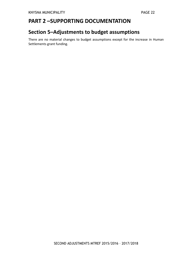## <span id="page-21-0"></span>**PART 2 –SUPPORTING DOCUMENTATION**

## <span id="page-21-1"></span>**Section 5–Adjustments to budget assumptions**

<span id="page-21-2"></span>There are no material changes to budget assumptions except for the increase in Human Settlements grant funding.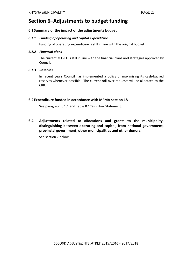### **Section 6–Adjustments to budget funding**

#### **6.1Summary of the impact of the adjustments budget**

#### *6.1.1 Funding of operating and capital expenditure*

Funding of operating expenditure is still in line with the original budget.

#### *6.1.2 Financial plans*

The current MTREF is still in line with the financial plans and strategies approved by Council.

#### *6.1.3 Reserves*

In recent years Council has implemented a policy of maximising its cash-backed reserves whenever possible. The current roll-over requests will be allocated to the CRR.

#### **6.2Expenditure funded in accordance with MFMA section 18**

See paragraph 6.1.1 and Table B7 Cash Flow Statement.

**6.4 Adjustments related to allocations and grants to the municipality, distinguishing between operating and capital, from national government, provincial government, other municipalities and other donors.**

<span id="page-22-0"></span>See section 7 below.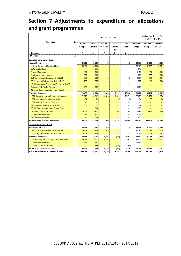## **Section 7–Adjustments to expenditure on allocations and grant programmes**

<span id="page-23-0"></span>

|                                                  |      |                           |                        |                            | +1 2016/17                   | <b>Budget Year Budget Year</b><br>+2 2017/18 |                                 |                           |                           |
|--------------------------------------------------|------|---------------------------|------------------------|----------------------------|------------------------------|----------------------------------------------|---------------------------------|---------------------------|---------------------------|
| Description                                      | Ref  | Original<br><b>Budget</b> | Prior<br>Adjusted<br>7 | Nat. or<br>Prov. Govt<br>9 | Other<br>Adjusts.<br>10      | Total<br>Adjusts.<br>11                      | Adjusted<br><b>Budget</b><br>12 | Adjusted<br><b>Budget</b> | Adjusted<br><b>Budget</b> |
| R thousands                                      |      | A                         | A1                     | C                          | D                            | E                                            | F                               |                           |                           |
| <b>RECEIPTS:</b>                                 | 1, 2 |                           |                        |                            |                              |                                              |                                 |                           |                           |
| <b>Operating Transfers and Grants</b>            |      |                           |                        |                            |                              |                                              |                                 |                           |                           |
| National Government:                             |      | 64,318                    | 64,633                 | 46                         | $\qquad \qquad \blacksquare$ | 46                                           | 64,679                          | 69.249                    | 75.046                    |
| Local Gov ernment Equitable Share                |      | 56.163                    | 56,163                 |                            |                              | $\overline{a}$                               | 56.163                          | 62,237                    | 67,761                    |
| DWA: Masibambane                                 | 3    | ÷                         | 315                    |                            | $\overline{\phantom{0}}$     | $\equiv$                                     | 315                             | $\equiv$                  | $\qquad \qquad -$         |
| <b>Finance Management</b>                        |      | 1,450                     | 1,450                  |                            | -                            | $\overline{\phantom{0}}$                     | 1.450                           | 1,475                     | 1.550                     |
| Municipal Systems Improvement                    |      | 930                       | 930                    |                            |                              |                                              | 930                             | 957                       | 1,033                     |
| CoGTA: Municipal Infrastructure Grant (MIG)      |      | 4,036                     | 4,036                  | 46                         |                              | 46                                           | 4,082                           | 4,089                     | 4,334                     |
| DME: Integrated National Electrification (INEP)  |      | 737                       | 737                    |                            |                              |                                              | 737                             | 491                       | 368                       |
| NT: Neighbourhood Development Partnership (NDPG) |      |                           |                        |                            |                              | $\overline{\phantom{0}}$                     |                                 |                           |                           |
| Extended Public Works Program                    |      | 1,002                     | 1,002                  |                            |                              | L,                                           | 1,002                           | $\overline{\phantom{0}}$  |                           |
| Other transfers and grants [insert description]  |      |                           |                        |                            |                              |                                              |                                 |                           |                           |
| <b>Provincial Government:</b>                    |      | 29,485                    | 49,233                 | 22,318                     | 7,116                        | 29,434                                       | 78,667                          | 35,234                    | 33,737                    |
| LG&H: Integrated Housing & Human Settlements     |      | 24,012                    | 34,012                 | 22.318                     | 6,556                        | 28,874                                       | 62,886                          | 29,706                    | 26,378                    |
| LG&H: Community Development Worker               |      | 54                        | 54                     |                            | (0)                          | (0)                                          | 54                              | 57                        | 60                        |
| LG&H: Housing Consumer Education                 |      |                           |                        |                            |                              |                                              |                                 |                           |                           |
| PW: Maintenance of Proclaimed Roads              |      | 67                        | 67                     |                            |                              |                                              | 67                              |                           |                           |
| PT: LG Financial Management Support Grant        |      |                           | 300                    |                            | $\overline{\phantom{0}}$     | $\equiv$                                     | 300                             |                           |                           |
| CA: Library Conditional Grant                    |      | 5,161                     | 4,481                  |                            | 560                          | 560                                          | 5,041                           | 5,471                     | 7,299                     |
| <b>Disaster Management Grant</b>                 |      | 191                       | 3,221                  |                            |                              | $\overline{\phantom{0}}$                     | 3,221                           |                           |                           |
| <b>PW: Hazardrous Locations</b>                  |      |                           | 7,098                  |                            |                              |                                              | 7.098                           |                           |                           |
| <b>Total Operating Transfers and Grants</b>      | 6    | 93,803                    | 113,866                | 22,364                     | 7,116                        | 29,480                                       | 143,346                         | 104,483                   | 108,783                   |
| <b>Capital Transfers and Grants</b>              |      |                           |                        |                            |                              |                                              |                                 |                           |                           |
| <b>National Government:</b>                      |      | 25,532                    | 25,532                 | 325                        | $\qquad \qquad -$            | 325                                          | 25,857                          | 24,557                    | 24,505                    |
| CoGTA: Municipal Infrastructure Grant (MIG)      |      | 20,269                    | 20,269                 | 325                        |                              | 325                                          | 20,594                          | 21,048                    | 21,873                    |
| DME: Integrated National Electrification (INEP)  |      | 5,263                     | 5,263                  |                            |                              | $\qquad \qquad -$                            | 5,263                           | 3,509                     | 2,632                     |
| <b>Provincial Government:</b>                    |      | 30,733                    | 23,003                 | 6,461                      | (560)                        | 5,901                                        | 28,904                          | 22,029                    | 16,522                    |
| LG&H: Integrated Housing & Human Settlements     |      | 29,372                    | 19,372                 | 6,461                      | ۳                            | 6.461                                        | 25.833                          | 22.029                    | 16,522                    |
| <b>Disaster Management Grant</b>                 |      | 1,361                     | 2,951                  |                            |                              | $\overline{\phantom{0}}$                     | 2,951                           |                           |                           |
| CA: Library Conditional Grant                    |      |                           | 680                    |                            | (560)                        | (560)                                        | 120                             |                           |                           |
| <b>Total Capital Transfers and Grants</b>        | 6    | 56,265                    | 48,535                 | 6,786                      | (560)                        | 6,226                                        | 54,761                          | 46,586                    | 41,027                    |
| TOTAL RECEIPTS OF TRANSFERS & GRANTS             |      | 150,068                   | 162,401                | 29.150                     | 6.556                        | 35.706                                       | 198.107                         | 151.069                   | 149.810                   |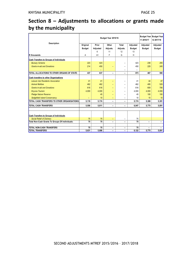## **Section 8 – Adjustments to allocations or grants made by the municipality**

<span id="page-24-0"></span>

| Description                                     | Budget Year 2015/16 |                |                          |                              |               | +1 2016/17    | <b>Budget Year Budget Year</b><br>+2 2017/18 |
|-------------------------------------------------|---------------------|----------------|--------------------------|------------------------------|---------------|---------------|----------------------------------------------|
|                                                 | Original            | Prior          | Other                    | <b>Total</b>                 | Adjusted      | Adjusted      | Adjusted                                     |
|                                                 | <b>Budget</b>       | Adjusted       | Adjusts.                 | Adjusts.                     | <b>Budget</b> | <b>Budget</b> | <b>Budget</b>                                |
|                                                 |                     | 6              | 11                       | 12                           | 13            |               |                                              |
| <b>R</b> thousands                              | A                   | A <sub>1</sub> | F                        | G                            | H             |               |                                              |
| Cash Transfers to Groups of Individuals         |                     |                |                          |                              |               |               |                                              |
| <b>Bursary Scheme</b>                           | 223                 | 423            |                          |                              | 423           | 238           | 255                                          |
| <b>Grants-in-aid and Donations</b>              | 214                 | 450            |                          | -                            | 450           | 229           | 245                                          |
|                                                 |                     |                |                          |                              |               |               |                                              |
| TOTAL ALLOCATIONS TO OTHER ORGANS OF STATE:     | 437                 | 637            |                          | $\overline{\phantom{m}}$     | 873           | 467           | 500                                          |
| Cash transfers to other Organisations           |                     |                |                          |                              |               |               |                                              |
| Leisure Isle Residents Association              | 41                  | 41             |                          |                              | 41            | 44            | 47                                           |
| <b>Animal Welfare</b>                           | 462                 | 462            |                          |                              | 462           | 495           | 529                                          |
| <b>Grants-in-aid and Donations</b>              | 616                 | 616            |                          |                              | 616           | 659           | 706                                          |
| <b>Knysna Tourism</b>                           | 4,000               | 4,000          |                          |                              | 4,000         | 4,000         | 4,000                                        |
| <b>Pledge Nature Reserve</b>                    |                     | 45             |                          |                              | 45            | 100           | 100                                          |
| Sedgefield Island Conservancy                   |                     | 10             |                          |                              | 10            | 10            | 10                                           |
| TOTAL CASH TRANSFERS TO OTHER ORGANISATIONS:    | 5,119               | 5,174          | $\overline{\phantom{0}}$ | $\qquad \qquad \blacksquare$ | 5,174         | 5,308         | 5,391                                        |
| <b>TOTAL CASH TRANSFERS</b>                     | 5,556               | 5.811          |                          |                              | 6.047         | 5.775         | 5.891                                        |
| Cash Transfers to Groups of Individuals         |                     |                |                          |                              |               |               |                                              |
| <b>Social Relief of Distress</b>                | 75                  | 75             | $\overline{\phantom{0}}$ | -                            | 75            |               |                                              |
| Total Non-Cash Grants To Groups Of Individuals: | 75                  | 75             |                          | $\blacksquare$               | 75            |               |                                              |
|                                                 |                     |                |                          |                              |               |               |                                              |
| <b>TOTAL NON-CASH TRANSFERS</b>                 | 75                  | 75             | $\overline{\phantom{m}}$ | $\overline{\phantom{m}}$     | 75            |               |                                              |
| <b>TOTAL TRANSFERS</b>                          | 5.631               | 5.886          | $\qquad \qquad$          | $\overline{\phantom{0}}$     | 6,122         | 5,775         | 5,891                                        |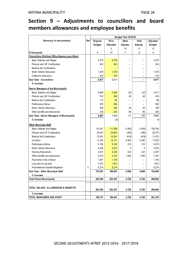## **Section 9 – Adjustments to councillors and board members allowances and employee benefits**

<span id="page-25-0"></span>

|                                                          |     | Budget Year 2015/16 |                |          |                          |               |
|----------------------------------------------------------|-----|---------------------|----------------|----------|--------------------------|---------------|
| Summary of remuneration                                  | Ref | Original            | Prior          | Other    | Total                    | Adjusted      |
|                                                          |     | <b>Budget</b>       | Adjusted       | Adjusts. | Adjusts.                 | <b>Budget</b> |
|                                                          |     |                     | 5              | 10       | 11                       | 12            |
| R thousands                                              |     | А                   | A <sub>1</sub> | F        | G                        | Н             |
| <b>Councillors (Political Office Bearers plus Other)</b> |     |                     |                |          |                          |               |
| <b>Basic Salaries and Wages</b>                          |     | 4,579               | 4,579          |          |                          | 4,579         |
| Pension and UIF Contributions                            |     | 243                 | 243            |          |                          | 243           |
| <b>Medical Aid Contributions</b>                         |     |                     |                |          |                          |               |
| Motor Vehicle Allow ance                                 |     | 1,579               | 1,579          |          | $\overline{\phantom{0}}$ | 1,579         |
| Cellphone Allow ance                                     |     | 416                 | 416            |          |                          | 416           |
| Sub Total - Councillors                                  |     | 6,817               | 6,817          |          |                          | 6,817         |
| % increase                                               |     |                     |                |          |                          |               |
| Senior Managers of the Municipality                      |     |                     |                |          |                          |               |
| <b>Basic Salaries and Wages</b>                          |     | 6,689               | 5,508          | (37)     | (37)                     | 5,471         |
| Pension and UIF Contributions                            |     | 510                 | 368            | 48       | 48                       | 416           |
| <b>Medical Aid Contributions</b>                         |     | 113                 | 68             |          |                          | 68            |
| Performance Bonus                                        |     | 870                 | 992            |          |                          | 992           |
| Motor Vehicle Allow ance                                 |     | 466                 | 336            | 20       | 20                       | 356           |
| Other benefits and allow ances                           |     | 238                 | 223            | 86       | 86                       | 308           |
| Sub Total - Senior Managers of Municipality              |     | 8,887               | 7,494          | 117      | 117                      | 7,611         |
| % increase                                               |     |                     | (0)            |          |                          | 0             |
| <b>Other Municipal Staff</b>                             |     |                     |                |          |                          |               |
| <b>Basic Salaries and Wages</b>                          |     | 110,931             | 111,596        | (1,802)  | (1, 802)                 | 109,794       |
| Pension and UIF Contributions                            |     | 20,647              | 20,663         | (390)    | (390)                    | 20,273        |
| <b>Medical Aid Contributions</b>                         |     | 12,591              | 12,591         | (619)    | (619)                    | 11,972        |
| Ov ertime                                                |     | 11,252              | 12,151         | 5,482    | 5,482                    | 17,633        |
| Performance Bonus                                        |     | 9,156               | 9,163          | 212      | 212                      | 9,374         |
| Motor Vehicle Allow ance                                 |     | 4,394               | 3,815          | 5        | 5                        | 3,819         |
| Housing Allow ances                                      |     | 2,031               | 2,045          | 222      | 222                      | 2,267         |
| Other benefits and allow ances                           |     | 5,612               | 5,723          | 1,559    | 1,559                    | 7,281         |
| Payments in lieu of leave                                |     | 1,091               | 1,104          |          |                          | 1,104         |
| Long service awards                                      |     | 1,872               | 1,872          |          |                          | 1,872         |
| Post-retirement benefit obligations                      | 5   | 8,274               | 8,274          |          |                          | 8,274         |
| Sub Total - Other Municipal Staff                        |     | 187,851             | 188,997        | 4,668    | 4,668                    | 193,665       |
| % increase                                               |     |                     |                |          |                          |               |
| <b>Total Parent Municipality</b>                         |     | 203,554             | 203,307        | 4,785    | 4,785                    | 208,092       |
|                                                          |     |                     |                |          |                          |               |
| TOTAL SALARY, ALLOWANCES & BENEFITS                      |     |                     |                |          |                          |               |
|                                                          |     | 203,554             | 203,307        | 4,785    | 4,785                    | 208,092       |
| % increase                                               |     |                     |                |          |                          |               |
| TOTAL MANAGERS AND STAFF                                 |     | 196,737             | 196,491        | 4,785    | 4,785                    | 201,276       |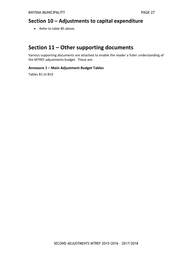## <span id="page-26-0"></span>**Section 10 – Adjustments to capital expenditure**

<span id="page-26-1"></span>• Refer to table B5 above.

## **Section 11 – Other supporting documents**

Various supporting documents are attached to enable the reader a fuller understanding of the MTREF adjustments budget. These are:

#### **Annexure 1 – Main Adjustment Budget Tables**

<span id="page-26-2"></span>Tables B1 to B10